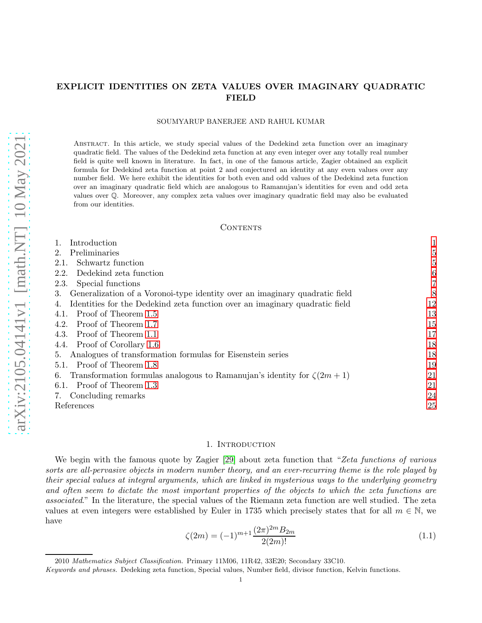# $arXiv:2105.04141v1$  [math.NT] 10 May 2021 [arXiv:2105.04141v1 \[math.NT\] 10 May 2021](http://arxiv.org/abs/2105.04141v1)

# EXPLICIT IDENTITIES ON ZETA VALUES OVER IMAGINARY QUADRATIC FIELD

### SOUMYARUP BANERJEE AND RAHUL KUMAR

Abstract. In this article, we study special values of the Dedekind zeta function over an imaginary quadratic field. The values of the Dedekind zeta function at any even integer over any totally real number field is quite well known in literature. In fact, in one of the famous article, Zagier obtained an explicit formula for Dedekind zeta function at point 2 and conjectured an identity at any even values over any number field. We here exhibit the identities for both even and odd values of the Dedekind zeta function over an imaginary quadratic field which are analogous to Ramanujan's identities for even and odd zeta values over Q. Moreover, any complex zeta values over imaginary quadratic field may also be evaluated from our identities.

### **CONTENTS**

| Introduction                                                                      |    |
|-----------------------------------------------------------------------------------|----|
| Preliminaries<br>2.                                                               | 5  |
| Schwartz function<br>2.1.                                                         | 5  |
| Dedekind zeta function<br>2.2.                                                    | 6  |
| Special functions<br>2.3.                                                         |    |
| Generalization of a Voronoi-type identity over an imaginary quadratic field<br>3. | 8  |
| Identities for the Dedekind zeta function over an imaginary quadratic field       | 12 |
| Proof of Theorem 1.5<br>4.1.                                                      | 13 |
| Proof of Theorem 1.7<br>4.2.                                                      | 15 |
| Proof of Theorem 1.1<br>4.3.                                                      | 17 |
| Proof of Corollary 1.6<br>4.4.                                                    | 18 |
| Analogues of transformation formulas for Eisenstein series<br>5.                  | 18 |
| Proof of Theorem 1.8<br>$5.1$ .                                                   | 19 |
| Transformation formulas analogous to Ramanujan's identity for $\zeta(2m+1)$<br>6. | 21 |
| Proof of Theorem 1.3<br>6.1.                                                      | 21 |
| Concluding remarks<br>7.                                                          | 24 |
| References                                                                        | 25 |

### 1. INTRODUCTION

<span id="page-0-0"></span>We begin with the famous quote by Zagier [\[29\]](#page-24-1) about zeta function that "*Zeta functions of various sorts are all-pervasive objects in modern number theory, and an ever-recurring theme is the role played by their special values at integral arguments, which are linked in mysterious ways to the underlying geometry and often seem to dictate the most important properties of the objects to which the zeta functions are associated*." In the literature, the special values of the Riemann zeta function are well studied. The zeta values at even integers were established by Euler in 1735 which precisely states that for all  $m \in \mathbb{N}$ , we have

<span id="page-0-1"></span>
$$
\zeta(2m) = (-1)^{m+1} \frac{(2\pi)^{2m} B_{2m}}{2(2m)!} \tag{1.1}
$$

<sup>2010</sup> *Mathematics Subject Classification.* Primary 11M06, 11R42, 33E20; Secondary 33C10.

*Keywords and phrases.* Dedeking zeta function, Special values, Number field, divisor function, Kelvin functions.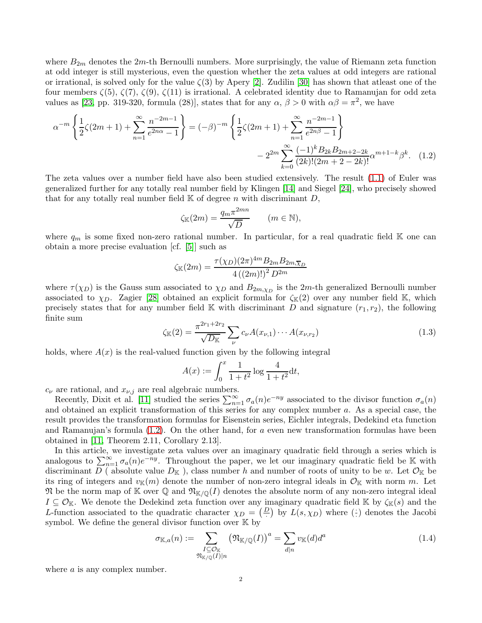where  $B_{2m}$  denotes the  $2m$ -th Bernoulli numbers. More surprisingly, the value of Riemann zeta function at odd integer is still mysterious, even the question whether the zeta values at odd integers are rational or irrational, is solved only for the value  $\zeta(3)$  by Apery [\[2\]](#page-24-2). Zudilin [\[30\]](#page-24-3) has shown that atleast one of the four members ζ(5), ζ(7), ζ(9), ζ(11) is irrational. A celebrated identity due to Ramanujan for odd zeta values as [\[23,](#page-24-4) pp. 319-320, formula (28)], states that for any  $\alpha$ ,  $\beta > 0$  with  $\alpha\beta = \pi^2$ , we have

$$
\alpha^{-m} \left\{ \frac{1}{2} \zeta(2m+1) + \sum_{n=1}^{\infty} \frac{n^{-2m-1}}{e^{2n\alpha} - 1} \right\} = (-\beta)^{-m} \left\{ \frac{1}{2} \zeta(2m+1) + \sum_{n=1}^{\infty} \frac{n^{-2m-1}}{e^{2n\beta} - 1} \right\}
$$

$$
- 2^{2m} \sum_{k=0}^{\infty} \frac{(-1)^k B_{2k} B_{2m+2-2k}}{(2k)!(2m+2-2k)!} \alpha^{m+1-k} \beta^k. \quad (1.2)
$$

The zeta values over a number field have also been studied extensively. The result [\(1.1\)](#page-0-1) of Euler was generalized further for any totally real number field by Klingen [\[14\]](#page-24-5) and Siegel [\[24\]](#page-24-6), who precisely showed that for any totally real number field  $\mathbb K$  of degree n with discriminant D,

<span id="page-1-0"></span>
$$
\zeta_{\mathbb{K}}(2m) = \frac{q_m \pi^{2mn}}{\sqrt{D}} \qquad (m \in \mathbb{N}),
$$

where  $q_m$  is some fixed non-zero rational number. In particular, for a real quadratic field K one can obtain a more precise evaluation [cf. [\[5\]](#page-24-7)] such as

$$
\zeta_{\mathbb{K}}(2m) = \frac{\tau(\chi_D)(2\pi)^{4m} B_{2m} B_{2m, \overline{\chi}_D}}{4\left((2m)!\right)^2 D^{2m}}
$$

where  $\tau(\chi_D)$  is the Gauss sum associated to  $\chi_D$  and  $B_{2m,\chi_D}$  is the 2m-th generalized Bernoulli number associated to  $\chi_D$ . Zagier [\[28\]](#page-24-8) obtained an explicit formula for  $\zeta_{\mathbb{K}}(2)$  over any number field K, which precisely states that for any number field K with discriminant D and signature  $(r_1, r_2)$ , the following finite sum

<span id="page-1-1"></span>
$$
\zeta_{\mathbb{K}}(2) = \frac{\pi^{2r_1 + 2r_2}}{\sqrt{D_{\mathbb{K}}}} \sum_{\nu} c_{\nu} A(x_{\nu,1}) \cdots A(x_{\nu,r_2})
$$
\n(1.3)

holds, where  $A(x)$  is the real-valued function given by the following integral

$$
A(x) := \int_0^x \frac{1}{1+t^2} \log \frac{4}{1+t^2} \mathrm{d}t,
$$

 $c_{\nu}$  are rational, and  $x_{\nu,j}$  are real algebraic numbers.

Recently, Dixit et al. [\[11\]](#page-24-9) studied the series  $\sum_{n=1}^{\infty} \sigma_a(n) e^{-ny}$  associated to the divisor function  $\sigma_a(n)$ and obtained an explicit transformation of this series for any complex number a. As a special case, the result provides the transformation formulas for Eisenstein series, Eichler integrals, Dedekind eta function and Ramanujan's formula  $(1.2)$ . On the other hand, for a even new transformation formulas have been obtained in [\[11,](#page-24-9) Theorem 2.11, Corollary 2.13].

In this article, we investigate zeta values over an imaginary quadratic field through a series which is analogous to  $\sum_{n=1}^{\infty} \sigma_a(n) e^{-ny}$ . Throughout the paper, we let our imaginary quadratic field be K with discriminant D (absolute value  $D_K$ ), class number h and number of roots of unity to be w. Let  $\mathcal{O}_K$  be its ring of integers and  $v_{\mathbb{K}}(m)$  denote the number of non-zero integral ideals in  $\mathcal{O}_{\mathbb{K}}$  with norm m. Let  $\mathfrak N$  be the norm map of K over Q and  $\mathfrak N_{\mathbb K/{\mathbb Q}}(I)$  denotes the absolute norm of any non-zero integral ideal  $I \subseteq \mathcal{O}_{\mathbb{K}}$ . We denote the Dedekind zeta function over any imaginary quadratic field  $\mathbb{K}$  by  $\zeta_{\mathbb{K}}(s)$  and the L-function associated to the quadratic character  $\chi_D = \left(\frac{D}{r}\right)$  by  $L(s, \chi_D)$  where  $\left(\frac{1}{r}\right)$  denotes the Jacobi symbol. We define the general divisor function over  $K$  by

<span id="page-1-2"></span>
$$
\sigma_{\mathbb{K},a}(n) := \sum_{\substack{I \subseteq \mathcal{O}_{\mathbb{K}} \\ \mathfrak{N}_{\mathbb{K}/\mathbb{Q}}(I)|n}} \left(\mathfrak{N}_{\mathbb{K}/\mathbb{Q}}(I)\right)^{a} = \sum_{d|n} v_{\mathbb{K}}(d)d^{a}
$$
(1.4)

where  $\alpha$  is any complex number.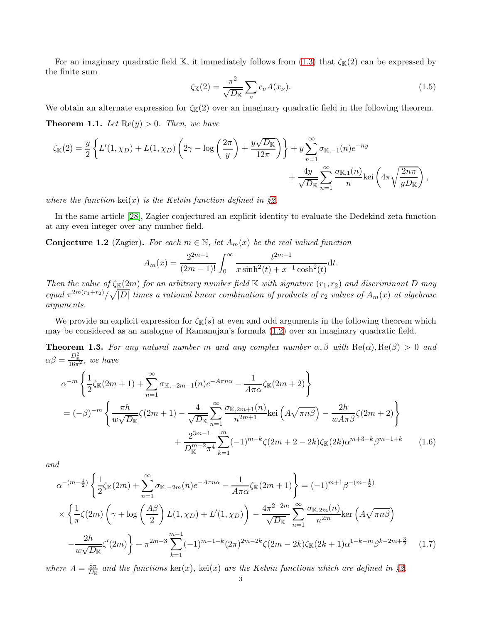For an imaginary quadratic field K, it immediately follows from  $(1.3)$  that  $\zeta_{K}(2)$  can be expressed by the finite sum

<span id="page-2-3"></span>
$$
\zeta_{\mathbb{K}}(2) = \frac{\pi^2}{\sqrt{D_{\mathbb{K}}}} \sum_{\nu} c_{\nu} A(x_{\nu}).
$$
\n(1.5)

<span id="page-2-0"></span>We obtain an alternate expression for  $\zeta_{\mathbb{K}}(2)$  over an imaginary quadratic field in the following theorem. **Theorem 1.1.** Let  $\text{Re}(y) > 0$ . Then, we have

$$
\zeta_{\mathbb{K}}(2) = \frac{y}{2} \left\{ L'(1, \chi_D) + L(1, \chi_D) \left( 2\gamma - \log \left( \frac{2\pi}{y} \right) + \frac{y\sqrt{D_{\mathbb{K}}}}{12\pi} \right) \right\} + y \sum_{n=1}^{\infty} \sigma_{\mathbb{K}, -1}(n) e^{-ny} + \frac{4y}{\sqrt{D_{\mathbb{K}}}} \sum_{n=1}^{\infty} \frac{\sigma_{\mathbb{K}, 1}(n)}{n} \text{kei} \left( 4\pi \sqrt{\frac{2n\pi}{y D_{\mathbb{K}}}} \right),
$$

*where the function*  $\text{kei}(x)$  *is the Kelvin function defined in* §[2.](#page-4-0)

In the same article [\[28\]](#page-24-8), Zagier conjectured an explicit identity to evaluate the Dedekind zeta function at any even integer over any number field.

Conjecture 1.2 (Zagier). For each  $m \in \mathbb{N}$ , let  $A_m(x)$  be the real valued function

<span id="page-2-2"></span>
$$
A_m(x) = \frac{2^{2m-1}}{(2m-1)!} \int_0^\infty \frac{t^{2m-1}}{x \sinh^2(t) + x^{-1} \cosh^2(t)} dt.
$$

*Then the value of*  $\zeta_{\mathbb{K}}(2m)$  *for an arbitrary number field*  $\mathbb{K}$  *with signature*  $(r_1, r_2)$  *and discriminant* D *may*  $equal \pi^{2m(r_1+r_2)}/\sqrt{|D|}$  *times a rational linear combination of products of*  $r_2$  *values of*  $A_m(x)$  *at algebraic arguments.*

We provide an explicit expression for  $\zeta_{\mathbb{K}}(s)$  at even and odd arguments in the following theorem which may be considered as an analogue of Ramanujan's formula [\(1.2\)](#page-1-0) over an imaginary quadratic field.

<span id="page-2-1"></span>**Theorem 1.3.** For any natural number m and any complex number  $\alpha, \beta$  with  $\text{Re}(\alpha), \text{Re}(\beta) > 0$  and  $\alpha\beta = \frac{D_{\mathbb{K}}^2}{16\pi^2}$ , we have

$$
\alpha^{-m} \left\{ \frac{1}{2} \zeta_{\mathbb{K}}(2m+1) + \sum_{n=1}^{\infty} \sigma_{\mathbb{K},-2m-1}(n) e^{-A\pi n\alpha} - \frac{1}{A\pi\alpha} \zeta_{\mathbb{K}}(2m+2) \right\}
$$
  
=  $(-\beta)^{-m} \left\{ \frac{\pi h}{w\sqrt{D_{\mathbb{K}}}} \zeta(2m+1) - \frac{4}{\sqrt{D_{\mathbb{K}}}} \sum_{n=1}^{\infty} \frac{\sigma_{\mathbb{K},2m+1}(n)}{n^{2m+1}} \text{kei}\left(A\sqrt{\pi n\beta}\right) - \frac{2h}{wA\pi\beta} \zeta(2m+2) \right\}$   
+  $\frac{2^{3m-1}}{D_{\mathbb{K}}^{m-2}\pi^4} \sum_{k=1}^{m} (-1)^{m-k} \zeta(2m+2-2k) \zeta_{\mathbb{K}}(2k) \alpha^{m+3-k} \beta^{m-1+k}$  (1.6)

*and*

<span id="page-2-4"></span>
$$
\alpha^{-(m-\frac{1}{2})} \left\{ \frac{1}{2} \zeta_{\mathbb{K}}(2m) + \sum_{n=1}^{\infty} \sigma_{\mathbb{K},-2m}(n) e^{-A\pi n\alpha} - \frac{1}{A\pi\alpha} \zeta_{\mathbb{K}}(2m+1) \right\} = (-1)^{m+1} \beta^{-(m-\frac{1}{2})}
$$
  
 
$$
\times \left\{ \frac{1}{\pi} \zeta(2m) \left( \gamma + \log \left( \frac{A\beta}{2} \right) L(1,\chi_D) + L'(1,\chi_D) \right) - \frac{4\pi^{2-2m}}{\sqrt{D_{\mathbb{K}}}} \sum_{n=1}^{\infty} \frac{\sigma_{\mathbb{K},2m}(n)}{n^{2m}} \ker \left( A\sqrt{\pi n \beta} \right) - \frac{2h}{w\sqrt{D_{\mathbb{K}}}} \zeta'(2m) \right\} + \pi^{2m-3} \sum_{k=1}^{m-1} (-1)^{m-1-k} (2\pi)^{2m-2k} \zeta(2m-2k) \zeta_{\mathbb{K}}(2k+1) \alpha^{1-k-m} \beta^{k-2m+\frac{3}{2}} \quad (1.7)
$$

where  $A = \frac{8\pi}{D_{\mathbb{K}}}$  and the functions  $\ker(x)$ ,  $\ker(x)$  are the Kelvin functions which are defined in §[2.](#page-4-0)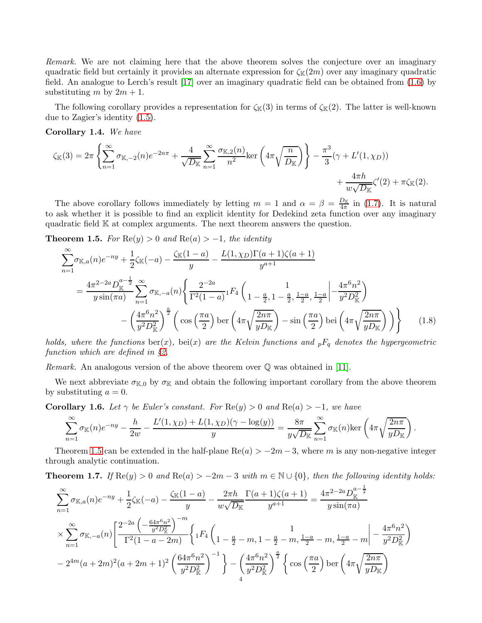*Remark.* We are not claiming here that the above theorem solves the conjecture over an imaginary quadratic field but certainly it provides an alternate expression for  $\zeta_{\mathbb{K}}(2m)$  over any imaginary quadratic field. An analogue to Lerch's result [\[17\]](#page-24-10) over an imaginary quadratic field can be obtained from [\(1.6\)](#page-2-2) by substituting m by  $2m + 1$ .

The following corollary provides a representation for  $\zeta_{\mathbb{K}}(3)$  in terms of  $\zeta_{\mathbb{K}}(2)$ . The latter is well-known due to Zagier's identity [\(1.5\)](#page-2-3).

Corollary 1.4. *We have*

$$
\zeta_{\mathbb{K}}(3) = 2\pi \left\{ \sum_{n=1}^{\infty} \sigma_{\mathbb{K},-2}(n) e^{-2n\pi} + \frac{4}{\sqrt{D_{\mathbb{K}}}} \sum_{n=1}^{\infty} \frac{\sigma_{\mathbb{K},2}(n)}{n^2} \ker \left( 4\pi \sqrt{\frac{n}{D_{\mathbb{K}}}} \right) \right\} - \frac{\pi^3}{3} (\gamma + L'(1, \chi_D)) + \frac{4\pi h}{w \sqrt{D_{\mathbb{K}}}} \zeta'(2) + \pi \zeta_{\mathbb{K}}(2).
$$

The above corollary follows immediately by letting  $m = 1$  and  $\alpha = \beta = \frac{D_{\mathbb{K}}}{4\pi}$  in [\(1.7\)](#page-2-4). It is natural to ask whether it is possible to find an explicit identity for Dedekind zeta function over any imaginary quadratic field K at complex arguments. The next theorem answers the question.

<span id="page-3-0"></span>**Theorem 1.5.** *For*  $\text{Re}(y) > 0$  *and*  $\text{Re}(a) > -1$ *, the identity* 

<span id="page-3-3"></span>
$$
\sum_{n=1}^{\infty} \sigma_{\mathbb{K},a}(n) e^{-ny} + \frac{1}{2} \zeta_{\mathbb{K}}(-a) - \frac{\zeta_{\mathbb{K}}(1-a)}{y} - \frac{L(1,\chi_D)\Gamma(a+1)\zeta(a+1)}{y^{a+1}}
$$
\n
$$
= \frac{4\pi^{2-2a} D_{\mathbb{K}}^{a-\frac{1}{2}}}{y \sin(\pi a)} \sum_{n=1}^{\infty} \sigma_{\mathbb{K},-a}(n) \left\{ \frac{2^{-2a}}{\Gamma^2(1-a)} \Gamma^{\{A\}}\left( \frac{1}{1-\frac{a}{2}, 1-\frac{a}{2}, \frac{1-a}{2}, \frac{1-a}{2}} \left| -\frac{4\pi^6 n^2}{y^2 D_{\mathbb{K}}^2} \right| \right. \\ \left. - \left( \frac{4\pi^6 n^2}{y^2 D_{\mathbb{K}}^2} \right)^{\frac{a}{2}} \left( \cos\left( \frac{\pi a}{2} \right) \text{ber}\left( 4\pi \sqrt{\frac{2n\pi}{y D_{\mathbb{K}}} \right) - \sin\left( \frac{\pi a}{2} \right) \text{bei}\left( 4\pi \sqrt{\frac{2n\pi}{y D_{\mathbb{K}}} \right) \right) \right\} \tag{1.8}
$$

*holds, where the functions*  $\text{ber}(x)$ *,*  $\text{bei}(x)$  *are the Kelvin functions and*  $pF_q$  *denotes the hypergeometric function which are defined in* §*[2.](#page-4-0)*

*Remark.* An analogous version of the above theorem over  $\mathbb Q$  was obtained in [\[11\]](#page-24-9).

We next abbreviate  $\sigma_{K,0}$  by  $\sigma_{K}$  and obtain the following important corollary from the above theorem by substituting  $a = 0$ .

<span id="page-3-2"></span>**Corollary 1.6.** *Let*  $\gamma$  *be Euler's constant. For*  $\text{Re}(y) > 0$  *and*  $\text{Re}(a) > -1$ *, we have* 

$$
\sum_{n=1}^{\infty} \sigma_{\mathbb{K}}(n) e^{-ny} - \frac{h}{2w} - \frac{L'(1,\chi_D) + L(1,\chi_D)(\gamma - \log(y))}{y} = \frac{8\pi}{y\sqrt{D_{\mathbb{K}}}} \sum_{n=1}^{\infty} \sigma_{\mathbb{K}}(n) \text{ker}\left(4\pi \sqrt{\frac{2n\pi}{yD_{\mathbb{K}}}}\right).
$$

Theorem [1.5](#page-3-0) can be extended in the half-plane  $\text{Re}(a) > -2m - 3$ , where m is any non-negative integer through analytic continuation.

<span id="page-3-1"></span>**Theorem 1.7.** *If*  $\text{Re}(y) > 0$  *and*  $\text{Re}(a) > -2m - 3$  *with*  $m \in \mathbb{N} \cup \{0\}$ *, then the following identity holds:* 

$$
\sum_{n=1}^{\infty} \sigma_{\mathbb{K},a}(n) e^{-ny} + \frac{1}{2} \zeta_{\mathbb{K}}(-a) - \frac{\zeta_{\mathbb{K}}(1-a)}{y} - \frac{2\pi h}{w\sqrt{D_{\mathbb{K}}}} \frac{\Gamma(a+1)\zeta(a+1)}{y^{a+1}} = \frac{4\pi^{2-2a} D_{\mathbb{K}}^{a-\frac{1}{2}}}{y \sin(\pi a)}
$$
  

$$
\times \sum_{n=1}^{\infty} \sigma_{\mathbb{K},-a}(n) \left[ \frac{2^{-2a} \left( -\frac{64\pi^6 n^2}{y^2 D_{\mathbb{K}}^2} \right)^{-m}}{\Gamma^2 (1-a-2m)} \left\{ 1^{F_4} \left( 1 - \frac{a}{2} - m, 1 - \frac{a}{2} - m, \frac{1-a}{2} - m, \frac{1-a}{2} - m \right| - \frac{4\pi^6 n^2}{y^2 D_{\mathbb{K}}^2} \right\}
$$
  

$$
- 2^{4m} (a+2m)^2 (a+2m+1)^2 \left( \frac{64\pi^6 n^2}{y^2 D_{\mathbb{K}}^2} \right)^{-1} \right\} - \left( \frac{4\pi^6 n^2}{y^2 D_{\mathbb{K}}^2} \right)^{\frac{a}{2}} \left\{ \cos \left( \frac{\pi a}{2} \right) \ker \left( 4\pi \sqrt{\frac{2n\pi}{y D_{\mathbb{K}}} \right)
$$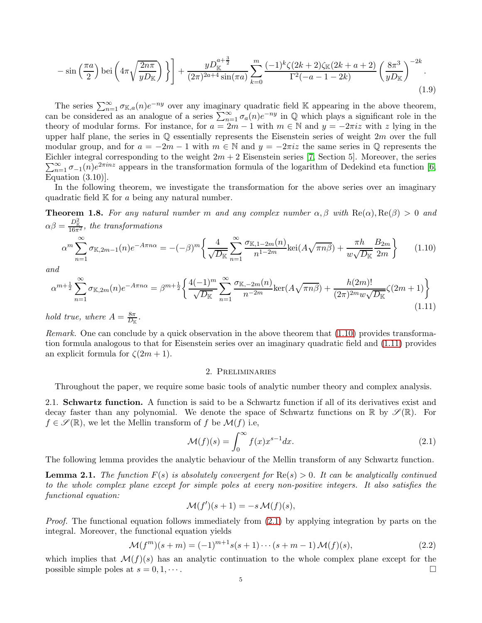$$
-\sin\left(\frac{\pi a}{2}\right) \operatorname{bei}\left(4\pi \sqrt{\frac{2n\pi}{yD_{\mathbb{K}}}}\right)\bigg\}\bigg] + \frac{yD_{\mathbb{K}}^{a+\frac{3}{2}}}{(2\pi)^{2a+4}\sin(\pi a)} \sum_{k=0}^{m} \frac{(-1)^k \zeta(2k+2)\zeta_{\mathbb{K}}(2k+a+2)}{\Gamma^2(-a-1-2k)} \left(\frac{8\pi^3}{yD_{\mathbb{K}}}\right)^{-2k}.\tag{1.9}
$$

The series  $\sum_{n=1}^{\infty} \sigma_{\mathbb{K},a}(n) e^{-ny}$  over any imaginary quadratic field K appearing in the above theorem, can be considered as an analogue of a series  $\sum_{n=1}^{\infty} \sigma_a(n) e^{-ny}$  in  $\mathbb Q$  which plays a significant role in the theory of modular forms. For instance, for  $a = 2m - 1$  with  $m \in \mathbb{N}$  and  $y = -2\pi i z$  with z lying in the upper half plane, the series in  $\mathbb Q$  essentially represents the Eisenstein series of weight 2m over the full modular group, and for  $a = -2m - 1$  with  $m \in \mathbb{N}$  and  $y = -2\pi i z$  the same series in  $\mathbb{Q}$  represents the Eichler integral corresponding to the weight  $2m + 2$  Eisenstein series [\[7,](#page-24-11) Section 5]. Moreover, the series  $\sum_{n=1}^{\infty} \sigma_{-1}(n)e^{2\pi i n z}$  appears in the transformation formula of the logarithm of Dedekind eta function [\[6,](#page-24-12) Equation  $(3.10)$ ].

In the following theorem, we investigate the transformation for the above series over an imaginary quadratic field  $K$  for  $a$  being any natural number.

<span id="page-4-2"></span>**Theorem 1.8.** For any natural number m and any complex number  $\alpha, \beta$  with  $\text{Re}(\alpha), \text{Re}(\beta) > 0$  and  $\alpha\beta = \frac{D_{\mathbb{K}}^2}{16\pi^2}$ , the transformations

<span id="page-4-3"></span>
$$
\alpha^m \sum_{n=1}^{\infty} \sigma_{\mathbb{K},2m-1}(n) e^{-A\pi n\alpha} = -(-\beta)^m \left\{ \frac{4}{\sqrt{D_{\mathbb{K}}}} \sum_{n=1}^{\infty} \frac{\sigma_{\mathbb{K},1-2m}(n)}{n^{1-2m}} \text{kei}(A\sqrt{\pi n\beta}) + \frac{\pi h}{w\sqrt{D_{\mathbb{K}}}} \frac{B_{2m}}{2m} \right\}
$$
(1.10)

*and*

<span id="page-4-4"></span>
$$
\alpha^{m+\frac{1}{2}} \sum_{n=1}^{\infty} \sigma_{\mathbb{K},2m}(n) e^{-A\pi n\alpha} = \beta^{m+\frac{1}{2}} \left\{ \frac{4(-1)^m}{\sqrt{D_{\mathbb{K}}}} \sum_{n=1}^{\infty} \frac{\sigma_{\mathbb{K},-2m}(n)}{n^{-2m}} \ker(A\sqrt{\pi n\beta}) + \frac{h(2m)!}{(2\pi)^{2m} w \sqrt{D_{\mathbb{K}}}} \zeta(2m+1) \right\}
$$
(1.11)

*hold true, where*  $A = \frac{8\pi}{D_v}$  $\frac{8\pi}{D_{\mathbb K}}$ .

*Remark.* One can conclude by a quick observation in the above theorem that  $(1.10)$  provides transformation formula analogous to that for Eisenstein series over an imaginary quadratic field and [\(1.11\)](#page-4-4) provides an explicit formula for  $\zeta(2m+1)$ .

### <span id="page-4-8"></span>2. Preliminaries

<span id="page-4-0"></span>Throughout the paper, we require some basic tools of analytic number theory and complex analysis.

<span id="page-4-1"></span>2.1. Schwartz function. A function is said to be a Schwartz function if all of its derivatives exist and decay faster than any polynomial. We denote the space of Schwartz functions on  $\mathbb R$  by  $\mathscr{S}(\mathbb R)$ . For  $f \in \mathscr{S}(\mathbb{R})$ , we let the Mellin transform of f be  $\mathcal{M}(f)$  i.e,

<span id="page-4-5"></span>
$$
\mathcal{M}(f)(s) = \int_0^\infty f(x)x^{s-1}dx.
$$
\n(2.1)

The following lemma provides the analytic behaviour of the Mellin transform of any Schwartz function.

<span id="page-4-6"></span>**Lemma 2.1.** The function  $F(s)$  is absolutely convergent for  $\text{Re}(s) > 0$ . It can be analytically continued *to the whole complex plane except for simple poles at every non-positive integers. It also satisfies the functional equation:*

$$
\mathcal{M}(f')(s+1) = -s \mathcal{M}(f)(s),
$$

*Proof.* The functional equation follows immediately from [\(2.1\)](#page-4-5) by applying integration by parts on the integral. Moreover, the functional equation yields

<span id="page-4-7"></span>
$$
\mathcal{M}(f^{m})(s+m) = (-1)^{m+1}s(s+1)\cdots(s+m-1)\,\mathcal{M}(f)(s),\tag{2.2}
$$

which implies that  $\mathcal{M}(f)(s)$  has an analytic continuation to the whole complex plane except for the possible simple poles at  $s = 0, 1, \dots$ possible simple poles at  $s = 0, 1, \dots$ .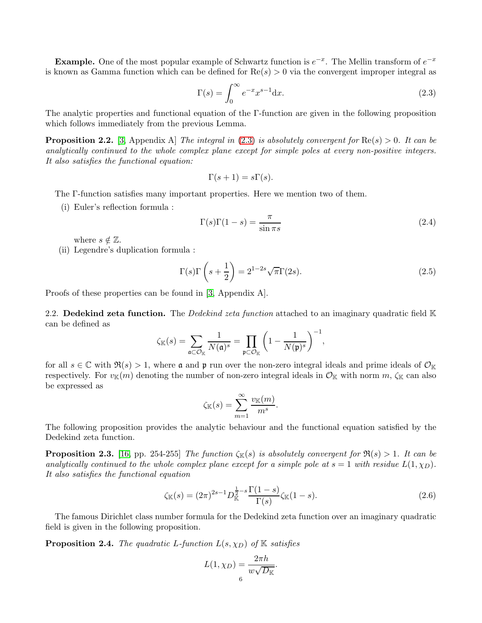**Example.** One of the most popular example of Schwartz function is  $e^{-x}$ . The Mellin transform of  $e^{-x}$ is known as Gamma function which can be defined for  $Re(s) > 0$  via the convergent improper integral as

<span id="page-5-1"></span>
$$
\Gamma(s) = \int_0^\infty e^{-x} x^{s-1} \mathrm{d}x. \tag{2.3}
$$

The analytic properties and functional equation of the Γ-function are given in the following proposition which follows immediately from the previous Lemma.

Proposition 2.2. [\[3,](#page-24-13) Appendix A] *The integral in* [\(2.3\)](#page-5-1) *is absolutely convergent for* Re(s) > 0*. It can be analytically continued to the whole complex plane except for simple poles at every non-positive integers. It also satisfies the functional equation:*

$$
\Gamma(s+1) = s\Gamma(s).
$$

The Γ-function satisfies many important properties. Here we mention two of them.

(i) Euler's reflection formula :

<span id="page-5-5"></span>
$$
\Gamma(s)\Gamma(1-s) = \frac{\pi}{\sin \pi s} \tag{2.4}
$$

where  $s \notin \mathbb{Z}$ .

(ii) Legendre's duplication formula :

<span id="page-5-6"></span>
$$
\Gamma(s)\Gamma\left(s+\frac{1}{2}\right) = 2^{1-2s}\sqrt{\pi}\Gamma(2s). \tag{2.5}
$$

Proofs of these properties can be found in [\[3,](#page-24-13) Appendix A].

<span id="page-5-0"></span>2.2. Dedekind zeta function. The *Dedekind zeta function* attached to an imaginary quadratic field K can be defined as

$$
\zeta_{\mathbb{K}}(s) = \sum_{\mathfrak{a} \subset \mathcal{O}_{\mathbb{K}}} \frac{1}{N(\mathfrak{a})^s} = \prod_{\mathfrak{p} \subset \mathcal{O}_{\mathbb{K}}} \left(1 - \frac{1}{N(\mathfrak{p})^s}\right)^{-1},
$$

for all  $s \in \mathbb{C}$  with  $\Re(s) > 1$ , where **a** and **p** run over the non-zero integral ideals and prime ideals of  $\mathcal{O}_{\mathbb{K}}$ respectively. For  $v_{\mathbb{K}}(m)$  denoting the number of non-zero integral ideals in  $\mathcal{O}_{\mathbb{K}}$  with norm  $m$ ,  $\zeta_{\mathbb{K}}$  can also be expressed as

$$
\zeta_{\mathbb{K}}(s) = \sum_{m=1}^{\infty} \frac{v_{\mathbb{K}}(m)}{m^s}.
$$

The following proposition provides the analytic behaviour and the functional equation satisfied by the Dedekind zeta function.

<span id="page-5-2"></span>**Proposition 2.3.** [\[16,](#page-24-14) pp. 254-255] *The function*  $\zeta_{\mathbb{K}}(s)$  *is absolutely convergent for*  $\Re(s) > 1$ *. It can be analytically continued to the whole complex plane except for a simple pole at*  $s = 1$  *with residue*  $L(1, \chi_D)$ *. It also satisfies the functional equation*

<span id="page-5-4"></span>
$$
\zeta_{\mathbb{K}}(s) = (2\pi)^{2s-1} D_{\mathbb{K}}^{\frac{1}{2}-s} \frac{\Gamma(1-s)}{\Gamma(s)} \zeta_{\mathbb{K}}(1-s).
$$
\n(2.6)

The famous Dirichlet class number formula for the Dedekind zeta function over an imaginary quadratic field is given in the following proposition.

<span id="page-5-3"></span>**Proposition 2.4.** *The quadratic L-function*  $L(s, \chi_D)$  *of* K *satisfies* 

$$
L(1, \chi_D) = \frac{2\pi h}{w\sqrt{D_{\mathbb{K}}}}.
$$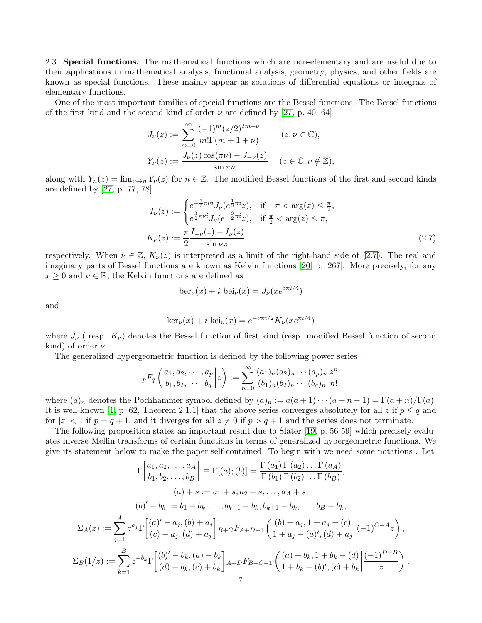<span id="page-6-0"></span>2.3. Special functions. The mathematical functions which are non-elementary and are useful due to their applications in mathematical analysis, functional analysis, geometry, physics, and other fields are known as special functions. These mainly appear as solutions of differential equations or integrals of elementary functions.

One of the most important families of special functions are the Bessel functions. The Bessel functions of the first kind and the second kind of order  $\nu$  are defined by [\[27,](#page-24-15) p. 40, 64]

$$
J_{\nu}(z) := \sum_{m=0}^{\infty} \frac{(-1)^m (z/2)^{2m+\nu}}{m! \Gamma(m+1+\nu)} \qquad (z, \nu \in \mathbb{C}),
$$
  

$$
Y_{\nu}(z) := \frac{J_{\nu}(z) \cos(\pi \nu) - J_{-\nu}(z)}{\sin \pi \nu} \qquad (z \in \mathbb{C}, \nu \notin \mathbb{Z}),
$$

along with  $Y_n(z) = \lim_{\nu \to n} Y_{\nu}(z)$  for  $n \in \mathbb{Z}$ . The modified Bessel functions of the first and second kinds are defined by [\[27,](#page-24-15) p. 77, 78]

$$
I_{\nu}(z) := \begin{cases} e^{-\frac{1}{2}\pi\nu i} J_{\nu}(e^{\frac{1}{2}\pi i} z), & \text{if } -\pi < \arg(z) \le \frac{\pi}{2}, \\ e^{\frac{3}{2}\pi\nu i} J_{\nu}(e^{-\frac{3}{2}\pi i} z), & \text{if } \frac{\pi}{2} < \arg(z) \le \pi, \end{cases}
$$
  

$$
K_{\nu}(z) := \frac{\pi}{2} \frac{I_{-\nu}(z) - I_{\nu}(z)}{\sin \nu \pi}
$$
 (2.7)

respectively. When  $\nu \in \mathbb{Z}$ ,  $K_{\nu}(z)$  is interpreted as a limit of the right-hand side of [\(2.7\)](#page-6-1). The real and imaginary parts of Bessel functions are known as Kelvin functions [\[20,](#page-24-16) p. 267]. More precisely, for any  $x \geq 0$  and  $\nu \in \mathbb{R}$ , the Kelvin functions are defined as

<span id="page-6-1"></span>
$$
ber_{\nu}(x) + i bei_{\nu}(x) = J_{\nu}(xe^{3\pi i/4})
$$

and

$$
\ker_{\nu}(x) + i \operatorname{kei}_{\nu}(x) = e^{-\nu \pi i/2} K_{\nu}(xe^{\pi i/4})
$$

where  $J_{\nu}$  (resp.  $K_{\nu}$ ) denotes the Bessel function of first kind (resp. modified Bessel function of second kind) of order  $\nu$ .

The generalized hypergeometric function is defined by the following power series :

$$
{}_{p}F_{q}\left(\begin{matrix} a_{1}, a_{2}, \cdots, a_{p} \\ b_{1}, b_{2}, \cdots, b_{q} \end{matrix} \bigg| z\right) := \sum_{n=0}^{\infty} \frac{(a_{1})_{n}(a_{2})_{n} \cdots (a_{p})_{n}}{(b_{1})_{n}(b_{2})_{n} \cdots (b_{q})_{n}} \frac{z^{n}}{n!}
$$

where  $(a)_n$  denotes the Pochhammer symbol defined by  $(a)_n := a(a+1)\cdots(a+n-1) = \Gamma(a+n)/\Gamma(a)$ . It is well-known [\[1,](#page-24-17) p. 62, Theorem 2.1.1] that the above series converges absolutely for all z if  $p \leq q$  and for  $|z| < 1$  if  $p = q + 1$ , and it diverges for all  $z \neq 0$  if  $p > q + 1$  and the series does not terminate.

The following proposition states an important result due to Slater [\[19,](#page-24-18) p. 56-59] which precisely evaluates inverse Mellin transforms of certain functions in terms of generalized hypergeometric functions. We give its statement below to make the paper self-contained. To begin with we need some notations . Let

$$
\Gamma\begin{bmatrix} a_1, a_2, \dots, a_A \\ b_1, b_2, \dots, b_B \end{bmatrix} \equiv \Gamma[(a); (b)] = \frac{\Gamma(a_1) \Gamma(a_2) \dots \Gamma(a_A)}{\Gamma(b_1) \Gamma(b_2) \dots \Gamma(b_B)},
$$
\n
$$
(a) + s := a_1 + s, a_2 + s, \dots, a_A + s,
$$
\n
$$
(b)' - b_k := b_1 - b_k, \dots, b_{k-1} - b_k, b_{k+1} - b_k, \dots, b_B - b_k,
$$
\n
$$
\Sigma_A(z) := \sum_{j=1}^A z^{a_j} \Gamma\begin{bmatrix} (a)' - a_j, (b) + a_j \\ (c) - a_j, (d) + a_j \end{bmatrix} B + CFA + D - 1 \begin{pmatrix} (b) + a_j, 1 + a_j - (c) \\ 1 + a_j - (a)', (d) + a_j \end{pmatrix} (-1)^{C-A} z,
$$
\n
$$
\Sigma_B(1/z) := \sum_{k=1}^B z^{-b_k} \Gamma\begin{bmatrix} (b)' - b_k, (a) + b_k \\ (d) - b_k, (c) + b_k \end{bmatrix} A + DF_{B+C-1} \begin{pmatrix} (a) + b_k, 1 + b_k - (d) \\ 1 + b_k - (b)', (c) + b_k \end{pmatrix} \frac{(-1)^{D-B}}{z},
$$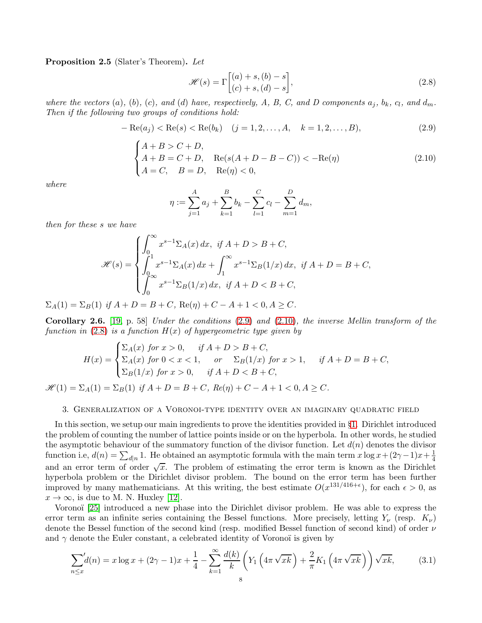<span id="page-7-5"></span>Proposition 2.5 (Slater's Theorem). *Let*

<span id="page-7-3"></span>
$$
\mathcal{H}(s) = \Gamma\begin{bmatrix} (a) + s, (b) - s \\ (c) + s, (d) - s \end{bmatrix},\tag{2.8}
$$

where the vectors  $(a)$ ,  $(b)$ ,  $(c)$ , and  $(d)$  have, respectively, A, B, C, and D components  $a_j$ ,  $b_k$ ,  $c_l$ , and  $d_m$ . *Then if the following two groups of conditions hold:*

<span id="page-7-1"></span>
$$
- \operatorname{Re}(a_j) < \operatorname{Re}(s) < \operatorname{Re}(b_k) \quad (j = 1, 2, \dots, A, \quad k = 1, 2, \dots, B), \tag{2.9}
$$

<span id="page-7-2"></span>
$$
\begin{cases}\nA + B > C + D, \\
A + B = C + D, \\
A = C, \quad B = D, \\
\text{Re}(\eta) < 0,\n\end{cases} \quad \text{Re}(\mathbf{A} + D - B - C)) < -\text{Re}(\eta)\n\tag{2.10}
$$

*where*

$$
\eta := \sum_{j=1}^{A} a_j + \sum_{k=1}^{B} b_k - \sum_{l=1}^{C} c_l - \sum_{m=1}^{D} d_m,
$$

*then for these* s *we have*

$$
\mathcal{H}(s) = \begin{cases} \int_0^\infty x^{s-1} \Sigma_A(x) \, dx, & \text{if } A + D > B + C, \\ \int_0^1 x^{s-1} \Sigma_A(x) \, dx + \int_1^\infty x^{s-1} \Sigma_B(1/x) \, dx, & \text{if } A + D = B + C, \\ \int_0^\infty x^{s-1} \Sigma_B(1/x) \, dx, & \text{if } A + D < B + C, \end{cases}
$$

 $\Sigma_A(1) = \Sigma_B(1)$  *if*  $A + D = B + C$ , Re( $\eta$ ) + C – A + 1 < 0, A > C.

Corollary 2.6. [\[19,](#page-24-18) p. 58] *Under the conditions* [\(2.9\)](#page-7-1) *and* [\(2.10\)](#page-7-2)*, the inverse Mellin transform of the function in* [\(2.8\)](#page-7-3) *is a function* H(x) *of hypergeometric type given by*

$$
H(x) = \begin{cases} \sum_A(x) \text{ for } x > 0, & \text{if } A + D > B + C, \\ \sum_A(x) \text{ for } 0 < x < 1, & \text{or } \sum_B(1/x) \text{ for } x > 1, & \text{if } A + D = B + C, \\ \sum_B(1/x) \text{ for } x > 0, & \text{if } A + D < B + C, \end{cases}
$$

<span id="page-7-0"></span> $\mathscr{H}(1) = \Sigma_A(1) = \Sigma_B(1)$  *if*  $A + D = B + C$ *,*  $Re(\eta) + C - A + 1 < 0, A \ge C$ *.* 

### 3. Generalization of a Voronoi-type identity over an imaginary quadratic field

In this section, we setup our main ingredients to prove the identities provided in §[1.](#page-0-0) Dirichlet introduced the problem of counting the number of lattice points inside or on the hyperbola. In other words, he studied the asymptotic behaviour of the summatory function of the divisor function. Let  $d(n)$  denotes the divisor function i.e,  $d(n) = \sum_{d|n} 1$ . He obtained an asymptotic formula with the main term  $x \log x + (2\gamma - 1)x + \frac{1}{4}$ 4 and an error term of order  $\sqrt{x}$ . The problem of estimating the error term is known as the Dirichlet hyperbola problem or the Dirichlet divisor problem. The bound on the error term has been further improved by many mathematicians. At this writing, the best estimate  $O(x^{131/416+\epsilon})$ , for each  $\epsilon > 0$ , as  $x \to \infty$ , is due to M. N. Huxley [\[12\]](#page-24-19).

Voronoï [\[25\]](#page-24-20) introduced a new phase into the Dirichlet divisor problem. He was able to express the error term as an infinite series containing the Bessel functions. More precisely, letting  $Y_{\nu}$  (resp.  $K_{\nu}$ ) denote the Bessel function of the second kind (resp. modified Bessel function of second kind) of order  $\nu$ and  $\gamma$  denote the Euler constant, a celebrated identity of Voronoï is given by

<span id="page-7-4"></span>
$$
\sum_{n \le x} d(n) = x \log x + (2\gamma - 1)x + \frac{1}{4} - \sum_{k=1}^{\infty} \frac{d(k)}{k} \left( Y_1 \left( 4\pi \sqrt{x k} \right) + \frac{2}{\pi} K_1 \left( 4\pi \sqrt{x k} \right) \right) \sqrt{x k}, \tag{3.1}
$$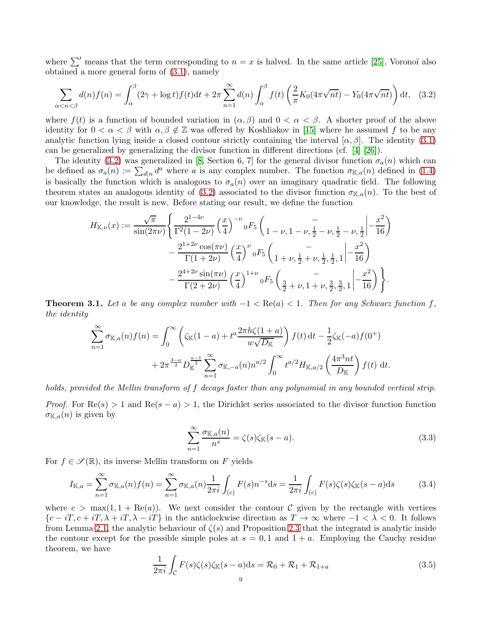where  $\sum'$  means that the term corresponding to  $n = x$  is halved. In the same article [\[25\]](#page-24-20), Voronoï also obtained a more general form of [\(3.1\)](#page-7-4), namely

<span id="page-8-0"></span>
$$
\sum_{\alpha < n < \beta} d(n)f(n) = \int_{\alpha}^{\beta} (2\gamma + \log t)f(t)dt + 2\pi \sum_{n=1}^{\infty} d(n) \int_{\alpha}^{\beta} f(t) \left( \frac{2}{\pi} K_0(4\pi\sqrt{nt}) - Y_0(4\pi\sqrt{nt}) \right) dt,\tag{3.2}
$$

where  $f(t)$  is a function of bounded variation in  $(\alpha, \beta)$  and  $0 < \alpha < \beta$ . A shorter proof of the above identity for  $0 < \alpha < \beta$  with  $\alpha, \beta \notin \mathbb{Z}$  was offered by Koshliakov in [\[15\]](#page-24-21) where he assumed f to be any analytic function lying inside a closed contour strictly containing the interval  $[\alpha, \beta]$ . The identity [\(3.1\)](#page-7-4) can be generalized by generalizing the divisor function in different directions (cf. [\[4\]](#page-24-22) [\[26\]](#page-24-23)).

The identity [\(3.2\)](#page-8-0) was generalized in [\[8,](#page-24-24) Section 6, 7] for the general divisor function  $\sigma_a(n)$  which can be defined as  $\sigma_a(n) := \sum_{d|n} d^a$  where a is any complex number. The function  $\sigma_{\mathbb{K},a}(n)$  defined in [\(1.4\)](#page-1-2) is basically the function which is analogous to  $\sigma_a(n)$  over an imaginary quadratic field. The following theorem states an analogous identity of [\(3.2\)](#page-8-0) associated to the divisor function  $\sigma_{K,a}(n)$ . To the best of our knowledge, the result is new. Before stating our result, we define the function

$$
H_{\mathbb{K},\nu}(x) := \frac{\sqrt{\pi}}{\sin(2\pi\nu)} \left\{ \frac{2^{1-4\nu}}{\Gamma^2(1-2\nu)} \left(\frac{x}{4}\right)^{-\nu} {}_0F_5 \left( \frac{-\nu}{1-\nu, 1-\nu, \frac{1}{2}-\nu, \frac{1}{2}-\nu, \frac{1}{2}} \middle| -\frac{x^2}{16} \right) \right. \\ \left. - \frac{2^{1+2\nu}\cos(\pi\nu)}{\Gamma(1+2\nu)} \left(\frac{x}{4}\right)^{\nu} {}_0F_5 \left( \frac{-\nu}{1+\nu, \frac{1}{2}+\nu, \frac{1}{2}, \frac{1}{2}, 1} \middle| -\frac{x^2}{16} \right) \right. \\ \left. - \frac{2^{4+2\nu}\sin(\pi\nu)}{\Gamma(2+2\nu)} \left(\frac{x}{4}\right)^{1+\nu} {}_0F_5 \left( \frac{-\nu}{\frac{3}{2}+\nu, 1+\nu, \frac{3}{2}, \frac{3}{2}, 1} \middle| -\frac{x^2}{16} \right) \right\}.
$$

<span id="page-8-3"></span>**Theorem 3.1.** Let a be any complex number with  $-1 < \text{Re}(a) < 1$ . Then for any Schwarz function f, *the identity*

$$
\sum_{n=1}^{\infty} \sigma_{\mathbb{K},a}(n) f(n) = \int_0^{\infty} \left( \zeta_{\mathbb{K}}(1-a) + t^a \frac{2\pi h \zeta(1+a)}{w\sqrt{D_{\mathbb{K}}}} \right) f(t) dt - \frac{1}{2} \zeta_{\mathbb{K}}(-a) f(0^+) + 2\pi^{\frac{3-a}{2}} D_{\mathbb{K}}^{\frac{a-1}{2}} \sum_{n=1}^{\infty} \sigma_{\mathbb{K},-a}(n) n^{a/2} \int_0^{\infty} t^{a/2} H_{\mathbb{K},a/2} \left( \frac{4\pi^3 nt}{D_{\mathbb{K}}} \right) f(t) dt.
$$

*holds, provided the Mellin transform of* f *decays faster than any polynomial in any bounded vertical strip.*

*Proof.* For  $\text{Re}(s) > 1$  and  $\text{Re}(s - a) > 1$ , the Dirichlet series associated to the divisor function function  $\sigma_{\mathbb{K},a}(n)$  is given by

<span id="page-8-4"></span>
$$
\sum_{n=1}^{\infty} \frac{\sigma_{\mathbb{K},a}(n)}{n^s} = \zeta(s)\zeta_{\mathbb{K}}(s-a). \tag{3.3}
$$

For  $f \in \mathscr{S}(\mathbb{R})$ , its inverse Mellin transform on F yields

<span id="page-8-2"></span>
$$
I_{\mathbb{K},a} = \sum_{n=1}^{\infty} \sigma_{\mathbb{K},a}(n)f(n) = \sum_{n=1}^{\infty} \sigma_{\mathbb{K},a}(n)\frac{1}{2\pi i} \int_{(c)} F(s)n^{-s}ds = \frac{1}{2\pi i} \int_{(c)} F(s)\zeta(s)\zeta_{\mathbb{K}}(s-a)ds
$$
(3.4)

where  $c > \max(1, 1 + \text{Re}(a))$ . We next consider the contour C given by the rectangle with vertices  ${c-iT, c+iT, \lambda+iT, \lambda-iT}$  in the anticlockwise direction as  $T \to \infty$  where  $-1 < \lambda < 0$ . It follows from Lemma [2.1,](#page-4-6) the analytic behaviour of  $\zeta(s)$  and Proposition [2.3](#page-5-2) that the integrand is analytic inside the contour except for the possible simple poles at  $s = 0, 1$  and  $1 + a$ . Employing the Cauchy residue theorem, we have

<span id="page-8-1"></span>
$$
\frac{1}{2\pi i} \int_{\mathcal{C}} F(s)\zeta(s)\zeta_{\mathbb{K}}(s-a)\mathrm{d}s = \mathcal{R}_0 + \mathcal{R}_1 + \mathcal{R}_{1+a} \tag{3.5}
$$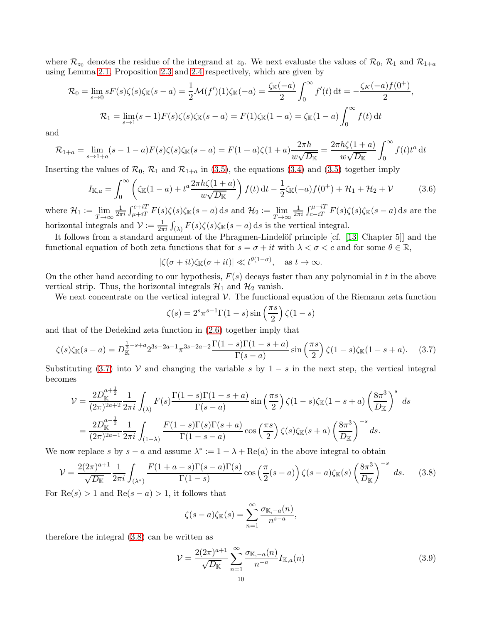where  $\mathcal{R}_{z_0}$  denotes the residue of the integrand at  $z_0$ . We next evaluate the values of  $\mathcal{R}_0$ ,  $\mathcal{R}_1$  and  $\mathcal{R}_{1+a}$ using Lemma [2.1,](#page-4-6) Proposition [2.3](#page-5-2) and [2.4](#page-5-3) respectively, which are given by

$$
\mathcal{R}_0 = \lim_{s \to 0} sF(s)\zeta(s)\zeta_{\mathbb{K}}(s-a) = \frac{1}{2}\mathcal{M}(f')(1)\zeta_{\mathbb{K}}(-a) = \frac{\zeta_{\mathbb{K}}(-a)}{2} \int_0^\infty f'(t) dt = -\frac{\zeta_{K}(-a)f(0^+)}{2},
$$
  

$$
\mathcal{R}_1 = \lim_{s \to 1} (s-1)F(s)\zeta(s)\zeta_{\mathbb{K}}(s-a) = F(1)\zeta_{\mathbb{K}}(1-a) = \zeta_{\mathbb{K}}(1-a) \int_0^\infty f(t) dt
$$

and

$$
\mathcal{R}_{1+a} = \lim_{s \to 1+a} (s-1-a) F(s) \zeta(s) \zeta_{\mathbb{K}}(s-a) = F(1+a) \zeta(1+a) \frac{2\pi h}{w\sqrt{D_{\mathbb{K}}}} = \frac{2\pi h \zeta(1+a)}{w\sqrt{D_{\mathbb{K}}}} \int_0^\infty f(t) t^a dt
$$

Inserting the values of  $\mathcal{R}_0$ ,  $\mathcal{R}_1$  and  $\mathcal{R}_{1+a}$  in [\(3.5\)](#page-8-1), the equations [\(3.4\)](#page-8-2) and (3.5) together imply

<span id="page-9-3"></span>
$$
I_{\mathbb{K},a} = \int_0^\infty \left( \zeta_{\mathbb{K}}(1-a) + t^a \frac{2\pi h \zeta(1+a)}{w\sqrt{D_{\mathbb{K}}}} \right) f(t) dt - \frac{1}{2} \zeta_{\mathbb{K}}(-a) f(0^+) + \mathcal{H}_1 + \mathcal{H}_2 + \mathcal{V} \tag{3.6}
$$

where  $\mathcal{H}_1 := \lim_{T \to \infty}$ 1  $\frac{1}{2\pi i} \int_{\mu+iT}^{c+iT} F(s)\zeta(s)\zeta_{\mathbb{K}}(s-a) \,ds$  and  $\mathcal{H}_2 := \lim_{T \to \infty}$ 1  $\frac{1}{2\pi i} \int_{c-iT}^{\mu-iT} F(s)\zeta(s)\zeta_{\mathbb{K}}(s-a) \,ds$  are the horizontal integrals and  $\mathcal{V} := \frac{1}{2\pi i} \int_{(\lambda)} F(s) \zeta(s) \zeta_{\mathbb{K}}(s-a) ds$  is the vertical integral.

It follows from a standard argument of the Phragmen-Lindelöf principle [cf. [\[13,](#page-24-25) Chapter 5]] and the functional equation of both zeta functions that for  $s = \sigma + it$  with  $\lambda < \sigma < c$  and for some  $\theta \in \mathbb{R}$ ,

$$
|\zeta(\sigma + it)\zeta_{\mathbb{K}}(\sigma + it)| \ll t^{\theta(1-\sigma)}, \text{ as } t \to \infty.
$$

On the other hand according to our hypothesis,  $F(s)$  decays faster than any polynomial in t in the above vertical strip. Thus, the horizontal integrals  $\mathcal{H}_1$  and  $\mathcal{H}_2$  vanish.

We next concentrate on the vertical integral  $\mathcal V$ . The functional equation of the Riemann zeta function

<span id="page-9-0"></span>
$$
\zeta(s) = 2^s \pi^{s-1} \Gamma(1-s) \sin\left(\frac{\pi s}{2}\right) \zeta(1-s)
$$

and that of the Dedekind zeta function in [\(2.6\)](#page-5-4) together imply that

$$
\zeta(s)\zeta_{\mathbb{K}}(s-a) = D_{\mathbb{K}}^{\frac{1}{2}-s+a} 2^{3s-2a-1} \pi^{3s-2a-2} \frac{\Gamma(1-s)\Gamma(1-s+a)}{\Gamma(s-a)} \sin\left(\frac{\pi s}{2}\right) \zeta(1-s)\zeta_{\mathbb{K}}(1-s+a). \tag{3.7}
$$

Substituting [\(3.7\)](#page-9-0) into V and changing the variable s by  $1-s$  in the next step, the vertical integral becomes

$$
\mathcal{V} = \frac{2D_{\mathbb{K}}^{a+\frac{1}{2}}}{(2\pi)^{2a+2}} \frac{1}{2\pi i} \int_{(\lambda)} F(s) \frac{\Gamma(1-s)\Gamma(1-s+a)}{\Gamma(s-a)} \sin\left(\frac{\pi s}{2}\right) \zeta(1-s) \zeta_{\mathbb{K}}(1-s+a) \left(\frac{8\pi^3}{D_{\mathbb{K}}}\right)^s ds
$$
  
= 
$$
\frac{2D_{\mathbb{K}}^{a-\frac{1}{2}}}{(2\pi)^{2a-1}} \frac{1}{2\pi i} \int_{(1-\lambda)} \frac{F(1-s)\Gamma(s)\Gamma(s+a)}{\Gamma(1-s-a)} \cos\left(\frac{\pi s}{2}\right) \zeta(s) \zeta_{\mathbb{K}}(s+a) \left(\frac{8\pi^3}{D_{\mathbb{K}}}\right)^{-s} ds.
$$

We now replace s by  $s - a$  and assume  $\lambda^* := 1 - \lambda + \text{Re}(a)$  in the above integral to obtain

$$
\mathcal{V} = \frac{2(2\pi)^{a+1}}{\sqrt{D_{\mathbb{K}}}} \frac{1}{2\pi i} \int_{(\lambda^*)} \frac{F(1+a-s)\Gamma(s-a)\Gamma(s)}{\Gamma(1-s)} \cos\left(\frac{\pi}{2}(s-a)\right) \zeta(s-a)\zeta_{\mathbb{K}}(s) \left(\frac{8\pi^3}{D_{\mathbb{K}}}\right)^{-s} ds. \tag{3.8}
$$

For  $\text{Re}(s) > 1$  and  $\text{Re}(s - a) > 1$ , it follows that

<span id="page-9-2"></span><span id="page-9-1"></span>
$$
\zeta(s-a)\zeta_{\mathbb{K}}(s)=\sum_{n=1}^{\infty}\frac{\sigma_{\mathbb{K},-a}(n)}{n^{s-a}},
$$

therefore the integral [\(3.8\)](#page-9-1) can be written as

$$
\mathcal{V} = \frac{2(2\pi)^{a+1}}{\sqrt{D_{\mathbb{K}}}} \sum_{n=1}^{\infty} \frac{\sigma_{\mathbb{K},-a}(n)}{n^{-a}} I_{\mathbb{K},a}(n)
$$
(3.9)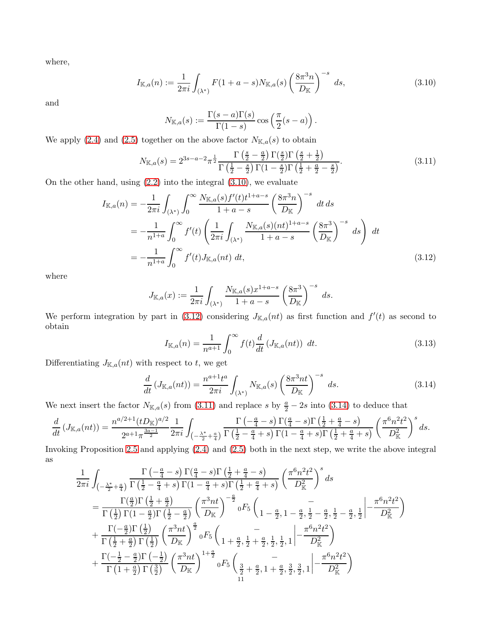where,

$$
I_{\mathbb{K},a}(n) := \frac{1}{2\pi i} \int_{(\lambda^*)} F(1+a-s) N_{\mathbb{K},a}(s) \left(\frac{8\pi^3 n}{D_{\mathbb{K}}}\right)^{-s} ds,
$$
\n(3.10)

and

<span id="page-10-2"></span><span id="page-10-0"></span>
$$
N_{\mathbb{K},a}(s) := \frac{\Gamma(s-a)\Gamma(s)}{\Gamma(1-s)} \cos\left(\frac{\pi}{2}(s-a)\right).
$$

We apply [\(2.4\)](#page-5-5) and [\(2.5\)](#page-5-6) together on the above factor  $N_{\mathbb{K},a}(s)$  to obtain

$$
N_{\mathbb{K},a}(s) = 2^{3s-a-2}\pi^{\frac{1}{2}}\frac{\Gamma\left(\frac{s}{2}-\frac{a}{2}\right)\Gamma\left(\frac{s}{2}\right)\Gamma\left(\frac{s}{2}+\frac{1}{2}\right)}{\Gamma\left(\frac{1}{2}-\frac{s}{2}\right)\Gamma\left(1-\frac{s}{2}\right)\Gamma\left(\frac{1}{2}+\frac{a}{2}-\frac{s}{2}\right)}.\tag{3.11}
$$

On the other hand, using  $(2.2)$  into the integral  $(3.10)$ , we evaluate

$$
I_{\mathbb{K},a}(n) = -\frac{1}{2\pi i} \int_{(\lambda^*)} \int_0^\infty \frac{N_{\mathbb{K},a}(s)f'(t)t^{1+a-s}}{1+a-s} \left(\frac{8\pi^3 n}{D_{\mathbb{K}}}\right)^{-s} dt ds
$$
  
= 
$$
-\frac{1}{n^{1+a}} \int_0^\infty f'(t) \left(\frac{1}{2\pi i} \int_{(\lambda^*)} \frac{N_{\mathbb{K},a}(s)(nt)^{1+a-s}}{1+a-s} \left(\frac{8\pi^3}{D_{\mathbb{K}}}\right)^{-s} ds\right) dt
$$
  
= 
$$
-\frac{1}{n^{1+a}} \int_0^\infty f'(t) J_{\mathbb{K},a}(nt) dt,
$$
(3.12)

where

$$
J_{\mathbb{K},a}(x) := \frac{1}{2\pi i} \int_{(\lambda^*)} \frac{N_{\mathbb{K},a}(s)x^{1+a-s}}{1+a-s} \left(\frac{8\pi^3}{D_{\mathbb{K}}}\right)^{-s} ds.
$$

We perform integration by part in [\(3.12\)](#page-10-1) considering  $J_{\mathbb{K},a}(nt)$  as first function and  $f'(t)$  as second to obtain

<span id="page-10-4"></span><span id="page-10-3"></span><span id="page-10-1"></span>
$$
I_{\mathbb{K},a}(n) = \frac{1}{n^{a+1}} \int_0^\infty f(t) \frac{d}{dt} \left( J_{\mathbb{K},a}(nt) \right) \, dt. \tag{3.13}
$$

Differentiating  $J_{\mathbb{K},a}(nt)$  with respect to t, we get

$$
\frac{d}{dt}\left(J_{\mathbb{K},a}(nt)\right) = \frac{n^{a+1}t^a}{2\pi i} \int_{(\lambda^*)} N_{\mathbb{K},a}(s) \left(\frac{8\pi^3 nt}{D_{\mathbb{K}}}\right)^{-s} ds.
$$
\n(3.14)

We next insert the factor  $N_{\mathbb{K},a}(s)$  from [\(3.11\)](#page-10-2) and replace s by  $\frac{a}{2} - 2s$  into [\(3.14\)](#page-10-3) to deduce that

$$
\frac{d}{dt}\left(J_{\mathbb{K},a}(nt)\right) = \frac{n^{a/2+1}(tD_{\mathbb{K}})^{a/2}}{2^{a+1}\pi^{\frac{3a-1}{2}}} \frac{1}{2\pi i} \int_{\left(-\frac{\lambda^*}{2}+\frac{a}{4}\right)} \frac{\Gamma\left(-\frac{a}{4}-s\right)\Gamma\left(\frac{a}{4}-s\right)\Gamma\left(\frac{1}{2}+\frac{a}{4}-s\right)}{\Gamma\left(\frac{1}{2}-\frac{a}{4}+s\right)\Gamma\left(1-\frac{a}{4}+s\right)\Gamma\left(\frac{1}{2}+\frac{a}{4}+s\right)} \left(\frac{\pi^6 n^2 t^2}{D_{\mathbb{K}}^2}\right)^s ds.
$$

Invoking Proposition [2.5](#page-7-5) and applying [\(2.4\)](#page-5-5) and [\(2.5\)](#page-5-6) both in the next step, we write the above integral as

$$
\begin{split} &\frac{1}{2\pi i} \int_{\left(-\frac{\lambda^{*}}{2}+\frac{a}{4}\right)} \frac{\Gamma\left(-\frac{a}{4}-s\right)\Gamma\left(\frac{a}{4}-s\right)\Gamma\left(\frac{1}{2}+\frac{a}{4}-s\right)}{\Gamma\left(\frac{1}{2}-\frac{a}{4}+s\right)\Gamma(1-\frac{a}{4}+s)\Gamma\left(\frac{1}{2}+\frac{a}{4}+s\right)} \left(\frac{\pi^{6}n^{2}t^{2}}{D_{\mathbb{K}}^{2}}\right)^{s} ds \\ &=\frac{\Gamma\left(\frac{a}{2}\right)\Gamma\left(\frac{1}{2}+\frac{a}{2}\right)}{\Gamma\left(\frac{1}{2}\right)\Gamma(1-\frac{a}{2})\Gamma\left(\frac{1}{2}-\frac{a}{2}\right)} \left(\frac{\pi^{3}nt}{D_{\mathbb{K}}}\right)^{-\frac{a}{2}} \mathrm{d}F_{5} \left(\frac{a}{1-\frac{a}{2},1-\frac{a}{2},\frac{1}{2}-\frac{a}{2},\frac{1}{2}-\frac{a}{2},\frac{1}{2}\right)} - \frac{\pi^{6}n^{2}t^{2}}{D_{\mathbb{K}}^{2}} \right) \\ &+\frac{\Gamma\left(-\frac{a}{2}\right)\Gamma\left(\frac{1}{2}\right)}{\Gamma\left(\frac{1}{2}+\frac{a}{2}\right)\Gamma\left(\frac{1}{2}\right)} \left(\frac{\pi^{3}nt}{D_{\mathbb{K}}}\right)^{\frac{a}{2}} \mathrm{d}F_{5} \left(\frac{a}{1+\frac{a}{2},\frac{1}{2}+\frac{a}{2},\frac{1}{2},\frac{1}{2}\right)} \left(-\frac{\pi^{6}n^{2}t^{2}}{D_{\mathbb{K}}^{2}}\right) \\ &+\frac{\Gamma\left(-\frac{1}{2}-\frac{a}{2}\right)\Gamma\left(-\frac{1}{2}\right)}{\Gamma\left(1+\frac{a}{2}\right)\Gamma\left(\frac{3}{2}\right)} \left(\frac{\pi^{3}nt}{D_{\mathbb{K}}}\right)^{1+\frac{a}{2}} \mathrm{d}F_{5} \left(\frac{a}{\frac{3}{2}+\frac{a}{2},1+\frac{a}{2},\frac{3}{2},\frac{3}{2},1}\right) \left(-\frac{\pi^{6}n^{2}t^{2}}{D_{\mathbb{K}}^{2}}\right)
$$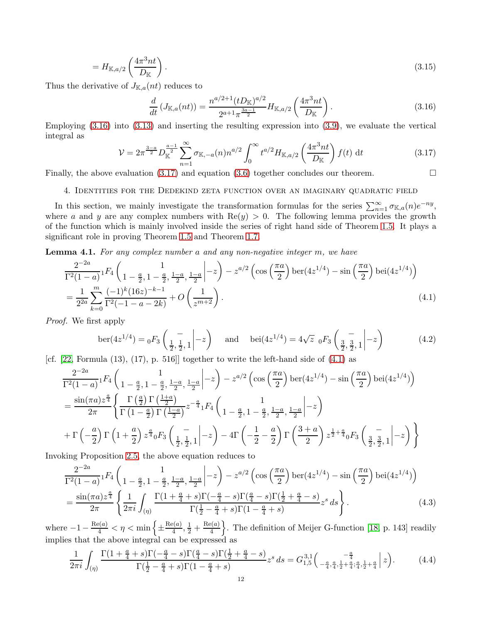$$
=H_{\mathbb{K},a/2}\left(\frac{4\pi^3nt}{D\mathbb{K}}\right).
$$
\n(3.15)

Thus the derivative of  $J_{\mathbb{K},a}(nt)$  reduces to

<span id="page-11-6"></span><span id="page-11-1"></span>
$$
\frac{d}{dt}\left(J_{\mathbb{K},a}(nt)\right) = \frac{n^{a/2+1}(tD_{\mathbb{K}})^{a/2}}{2^{a+1}\pi^{\frac{3a-1}{2}}}H_{\mathbb{K},a/2}\left(\frac{4\pi^3nt}{D_{\mathbb{K}}}\right).
$$
\n(3.16)

Employing [\(3.16\)](#page-11-1) into [\(3.13\)](#page-10-4) and inserting the resulting expression into [\(3.9\)](#page-9-2), we evaluate the vertical integral as

<span id="page-11-2"></span>
$$
\mathcal{V} = 2\pi^{\frac{3-a}{2}} D_{\mathbb{K}}^{\frac{a-1}{2}} \sum_{n=1}^{\infty} \sigma_{\mathbb{K},-a}(n) n^{a/2} \int_0^{\infty} t^{a/2} H_{\mathbb{K},a/2} \left(\frac{4\pi^3 nt}{D_{\mathbb{K}}}\right) f(t) dt \tag{3.17}
$$

<span id="page-11-0"></span>Finally, the above evaluation [\(3.17\)](#page-11-2) and equation [\(3.6\)](#page-9-3) together concludes our theorem.  $\Box$ 

### 4. Identities for the Dedekind zeta function over an imaginary quadratic field

In this section, we mainly investigate the transformation formulas for the series  $\sum_{n=1}^{\infty} \sigma_{\mathbb{K},a}(n) e^{-ny}$ , where a and y are any complex numbers with  $\text{Re}(y) > 0$ . The following lemma provides the growth of the function which is mainly involved inside the series of right hand side of Theorem [1.5.](#page-3-0) It plays a significant role in proving Theorem [1.5](#page-3-0) and Theorem [1.7.](#page-3-1)

<span id="page-11-7"></span>Lemma 4.1. *For any complex number* a *and any non-negative integer* m*, we have*

$$
\frac{2^{-2a}}{\Gamma^2(1-a)} {}_1F_4\left(1 - \frac{a}{2}, 1 - \frac{a}{2}, \frac{1-a}{2}, \frac{1-a}{2}\right) - z^{a/2} \left(\cos\left(\frac{\pi a}{2}\right) \ker(4z^{1/4}) - \sin\left(\frac{\pi a}{2}\right) \det(4z^{1/4})\right)
$$
\n
$$
= \frac{1}{2^{2a}} \sum_{k=0}^m \frac{(-1)^k (16z)^{-k-1}}{\Gamma^2(-1-a-2k)} + O\left(\frac{1}{z^{m+2}}\right). \tag{4.1}
$$

*Proof.* We first apply

<span id="page-11-8"></span><span id="page-11-3"></span>
$$
\text{ber}(4z^{1/4}) = {}_0F_3\left(\frac{-}{\frac{1}{2}, \frac{1}{2}, 1}\middle| -z\right) \quad \text{and} \quad \text{bei}(4z^{1/4}) = 4\sqrt{z} {}_0F_3\left(\frac{-}{\frac{3}{2}, \frac{3}{2}, 1}\middle| -z\right) \tag{4.2}
$$

[cf.  $[22, \text{Formula } (13), (17), p. 516]$ ] together to write the left-hand side of  $(4.1)$  as

$$
\frac{2^{-2a}}{\Gamma^2(1-a)} {}_1F_4\left(1-\frac{a}{2}, 1-\frac{a}{2}, \frac{1-a}{2}, \frac{1-a}{2}\right) - z^{a/2} \left(\cos\left(\frac{\pi a}{2}\right) \text{ber}(4z^{1/4}) - \sin\left(\frac{\pi a}{2}\right) \text{bei}(4z^{1/4})\right)
$$
\n
$$
= \frac{\sin(\pi a) z^{\frac{a}{4}}}{2\pi} \left\{ \frac{\Gamma\left(\frac{a}{2}\right) \Gamma\left(\frac{1+a}{2}\right)}{\Gamma\left(1-\frac{a}{2}\right) \Gamma\left(\frac{1-a}{2}\right)} z^{-\frac{a}{4}} {}_1F_4\left(1-\frac{a}{2}, 1-\frac{a}{2}, \frac{1-a}{2}, \frac{1-a}{2}\right) - z \right\}
$$
\n
$$
+ \Gamma\left(-\frac{a}{2}\right) \Gamma\left(1+\frac{a}{2}\right) z^{\frac{a}{4}} {}_0F_3\left(\frac{-}{\frac{1}{2}, \frac{1}{2}, 1}\right| - z \right) - 4\Gamma\left(-\frac{1}{2} - \frac{a}{2}\right) \Gamma\left(\frac{3+a}{2}\right) z^{\frac{1}{2} + \frac{a}{4}} {}_0F_3\left(\frac{-}{\frac{3}{2}, \frac{3}{2}, 1}\right| - z \right) \bigg\}
$$

Invoking Proposition [2.5,](#page-7-5) the above equation reduces to

$$
\frac{2^{-2a}}{\Gamma^2(1-a)} {}_{1}F_4 \left( \frac{1}{1-\frac{a}{2}, 1-\frac{a}{2}, \frac{1-a}{2}, \frac{1-a}{2}} \Big| -z \right) - z^{a/2} \left( \cos\left(\frac{\pi a}{2}\right) \text{ber}(4z^{1/4}) - \sin\left(\frac{\pi a}{2}\right) \text{bei}(4z^{1/4}) \right)
$$
\n
$$
= \frac{\sin(\pi a) z^{\frac{a}{4}}}{2\pi} \left\{ \frac{1}{2\pi i} \int_{(\eta)} \frac{\Gamma(1+\frac{a}{4}+s)\Gamma(-\frac{a}{4}-s)\Gamma(\frac{a}{4}-s)\Gamma(\frac{1}{2}+\frac{a}{4}-s)}{\Gamma(\frac{1}{2}-\frac{a}{4}+s)\Gamma(1-\frac{a}{4}+s)} z^s \, ds \right\}.
$$
\n(4.3)

where  $-1 - \frac{\text{Re}(a)}{4} < \eta < \min\left\{\pm \frac{\text{Re}(a)}{4}\right\}$  $\frac{e(a)}{4}, \frac{1}{2} + \frac{\text{Re}(a)}{4}$  $\left\{\frac{\rho(a)}{4}\right\}$ . The definition of Meijer G-function [\[18,](#page-24-27) p. 143] readily implies that the above integral can be expressed as

<span id="page-11-5"></span><span id="page-11-4"></span>
$$
\frac{1}{2\pi i} \int_{(\eta)} \frac{\Gamma(1+\frac{a}{4}+s)\Gamma(-\frac{a}{4}-s)\Gamma(\frac{a}{4}-s)\Gamma(\frac{1}{2}+\frac{a}{4}-s)}{\Gamma(\frac{1}{2}-\frac{a}{4}+s)\Gamma(1-\frac{a}{4}+s)} z^s ds = G_{1,5}^{3,1} \left( \frac{-\frac{a}{4}}{-\frac{a}{4}, \frac{a}{4}, \frac{1}{2}+\frac{a}{4}; \frac{a}{4}, \frac{1}{2}+\frac{a}{4}} \Big| z \right). \tag{4.4}
$$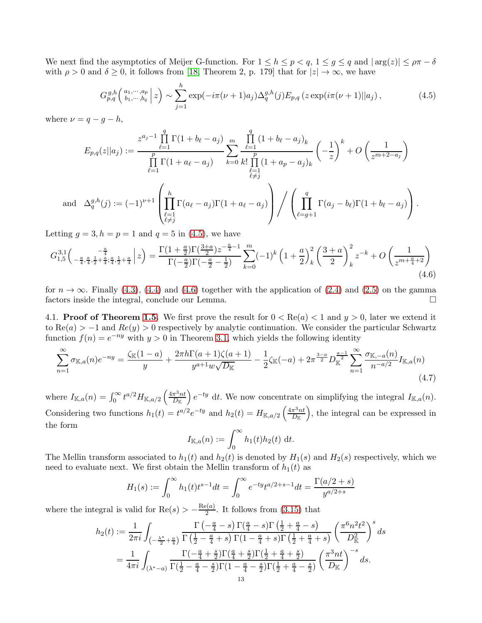We next find the asymptotics of Meijer G-function. For  $1 \leq h \leq p < q$ ,  $1 \leq g \leq q$  and  $|\arg(z)| \leq \rho \pi - \delta$ with  $\rho > 0$  and  $\delta \geq 0$ , it follows from [\[18,](#page-24-27) Theorem 2, p. 179] that for  $|z| \to \infty$ , we have

<span id="page-12-1"></span>
$$
G_{p,q}^{g,h}\left(\begin{array}{c} a_1,\dots,a_p \\ b_1,\dots,b_q \end{array}\Big| z\right) \sim \sum_{j=1}^h \exp(-i\pi(\nu+1)a_j) \Delta_q^{g,h}(j) E_{p,q} \left(z \exp(i\pi(\nu+1)||a_j)\right),\tag{4.5}
$$

where  $\nu = q - g - h$ ,

and

$$
E_{p,q}(z||a_j) := \frac{z^{a_j-1} \prod_{\ell=1}^q \Gamma(1+b_\ell-a_j)}{\prod_{\ell=1}^p \Gamma(1+a_\ell-a_j)} \sum_{k=0}^m \frac{\prod_{\ell=1}^q (1+b_\ell-a_j)_k}{k! \prod_{\ell=1}^p (1+a_p-a_j)_k} \left(-\frac{1}{z}\right)^k + O\left(\frac{1}{z^{m+2-a_j}}\right)
$$
  

$$
\Delta_q^{g,h}(j) := (-1)^{\nu+1} \left(\prod_{\substack{\ell=1\\ \ell \neq j}}^h \Gamma(a_\ell-a_j) \Gamma(1+a_\ell-a_j)\right) / \left(\prod_{\ell=g+1}^q \Gamma(a_j-b_\ell) \Gamma(1+b_\ell-a_j)\right).
$$

Letting  $g = 3, h = p = 1$  and  $q = 5$  in [\(4.5\)](#page-12-1), we have

$$
G_{1,5}^{3,1}\left(-\frac{a}{4}, \frac{a}{4}, \frac{1}{2}+\frac{a}{4}; \frac{a}{4}, \frac{1}{2}+\frac{a}{4}\right|z\right) = \frac{\Gamma(1+\frac{a}{2})\Gamma(\frac{3+a}{2})z^{-\frac{a}{4}-1}}{\Gamma(-\frac{a}{2})\Gamma(-\frac{a}{2}-\frac{1}{2})} \sum_{k=0}^{m} (-1)^k \left(1+\frac{a}{2}\right)_k^2 \left(\frac{3+a}{2}\right)_k^2 z^{-k} + O\left(\frac{1}{z^{m+\frac{a}{4}+2}}\right)
$$
\n
$$
(4.6)
$$

for  $n \to \infty$ . Finally [\(4.3\)](#page-11-4), [\(4.4\)](#page-11-5) and [\(4.6\)](#page-12-2) together with the application of [\(2.4\)](#page-5-5) and [\(2.5\)](#page-5-6) on the gamma factors inside the integral, conclude our Lemma. factors inside the integral, conclude our Lemma.

<span id="page-12-0"></span>4.1. **Proof of Theorem [1.5.](#page-3-0)** We first prove the result for  $0 < \text{Re}(a) < 1$  and  $y > 0$ , later we extend it to  $\text{Re}(a) > -1$  and  $\text{Re}(y) > 0$  respectively by analytic continuation. We consider the particular Schwartz function  $f(n) = e^{-ny}$  with  $y > 0$  in Theorem [3.1,](#page-8-3) which yields the following identity

$$
\sum_{n=1}^{\infty} \sigma_{\mathbb{K},a}(n) e^{-ny} = \frac{\zeta_{\mathbb{K}}(1-a)}{y} + \frac{2\pi h \Gamma(a+1)\zeta(a+1)}{y^{a+1}w\sqrt{D_{\mathbb{K}}}} - \frac{1}{2}\zeta_{\mathbb{K}}(-a) + 2\pi \frac{3-a}{2} D_{\mathbb{K}}^{\frac{a-1}{2}} \sum_{n=1}^{\infty} \frac{\sigma_{\mathbb{K},-a}(n)}{n^{-a/2}} I_{\mathbb{K},a}(n)
$$
\n(4.7)

where  $I_{\mathbb{K},a}(n) = \int_0^\infty t^{a/2} H_{\mathbb{K},a/2} \left( \frac{4\pi^3 n t}{D_{\mathbb{K}}} \right)$  $\left( \frac{\pi^3 n t}{D_K} \right) e^{-ty}$  dt. We now concentrate on simplifying the integral  $I_{\mathbb{K},a}(n)$ . Considering two functions  $h_1(t) = t^{a/2} e^{-ty}$  and  $h_2(t) = H_{\mathbb{K},a/2} \left( \frac{4\pi^3 nt}{D_{\mathbb{K}}} \right)$  $\frac{\pi^3 n t}{D_{\mathbb{K}}}$ , the integral can be expressed in the form

<span id="page-12-3"></span><span id="page-12-2"></span>
$$
I_{\mathbb{K},a}(n) := \int_0^\infty h_1(t)h_2(t) \, \mathrm{d}t.
$$

The Mellin transform associated to  $h_1(t)$  and  $h_2(t)$  is denoted by  $H_1(s)$  and  $H_2(s)$  respectively, which we need to evaluate next. We first obtain the Mellin transform of  $h_1(t)$  as

$$
H_1(s) := \int_0^\infty h_1(t)t^{s-1}dt = \int_0^\infty e^{-ty}t^{a/2+s-1}dt = \frac{\Gamma(a/2+s)}{y^{a/2+s}}
$$

where the integral is valid for  $\text{Re}(s) > -\frac{\text{Re}(a)}{2}$  $\frac{\partial (a)}{\partial}$ . It follows from [\(3.15\)](#page-11-6) that

$$
h_2(t) := \frac{1}{2\pi i} \int_{\left(-\frac{\lambda^*}{2} + \frac{a}{4}\right)} \frac{\Gamma\left(-\frac{a}{4} - s\right) \Gamma\left(\frac{a}{4} - s\right) \Gamma\left(\frac{1}{2} + \frac{a}{4} - s\right)}{\Gamma\left(\frac{1}{2} - \frac{a}{4} + s\right) \Gamma\left(1 - \frac{a}{4} + s\right) \Gamma\left(\frac{1}{2} + \frac{a}{4} + s\right)} \left(\frac{\pi^6 n^2 t^2}{D_{\rm K}^2}\right)^s ds
$$
  
= 
$$
\frac{1}{4\pi i} \int_{\left(\lambda^* - a\right)} \frac{\Gamma\left(-\frac{a}{4} + \frac{s}{2}\right) \Gamma\left(\frac{a}{4} + \frac{s}{2}\right) \Gamma\left(\frac{1}{2} + \frac{a}{4} + \frac{s}{2}\right)}{\Gamma\left(\frac{1}{2} - \frac{a}{4} - \frac{s}{2}\right) \Gamma\left(1 - \frac{a}{4} - \frac{s}{2}\right) \Gamma\left(\frac{1}{2} + \frac{a}{4} - \frac{s}{2}\right)} \left(\frac{\pi^3 n t}{D_{\rm K}}\right)^{-s} ds.
$$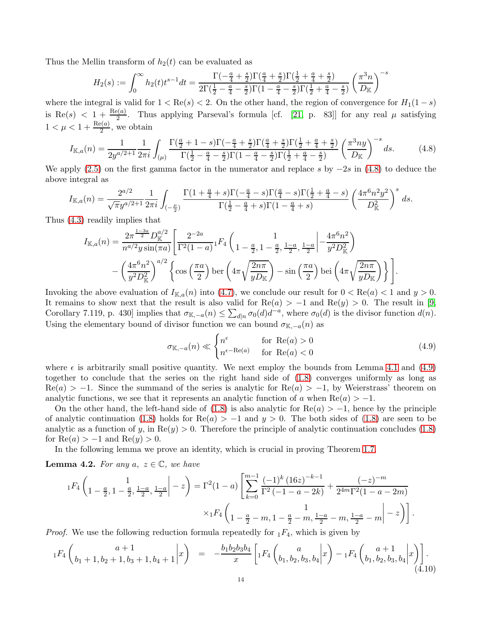Thus the Mellin transform of  $h_2(t)$  can be evaluated as

$$
H_2(s) := \int_0^\infty h_2(t) t^{s-1} dt = \frac{\Gamma(-\frac{a}{4} + \frac{s}{2}) \Gamma(\frac{a}{4} + \frac{s}{2}) \Gamma(\frac{1}{2} + \frac{a}{4} + \frac{s}{2})}{2 \Gamma(\frac{1}{2} - \frac{a}{4} - \frac{s}{2}) \Gamma(1 - \frac{a}{4} - \frac{s}{2}) \Gamma(\frac{1}{2} + \frac{a}{4} - \frac{s}{2})} \left(\frac{\pi^3 n}{D_{\mathbb{K}}}\right)^{-s}
$$

where the integral is valid for  $1 < \text{Re}(s) < 2$ . On the other hand, the region of convergence for  $H_1(1-s)$ is Re(s)  $\langle 1 + \frac{\text{Re}(a)}{2} \rangle$ . Thus applying Parseval's formula [cf. [\[21,](#page-24-28) p. 83]] for any real  $\mu$  satisfying  $1 < \mu < 1 + \frac{\text{Re}(a)}{2}$ , we obtain

$$
I_{\mathbb{K},a}(n) = \frac{1}{2y^{a/2+1}} \frac{1}{2\pi i} \int_{(\mu)} \frac{\Gamma(\frac{a}{2} + 1 - s)\Gamma(-\frac{a}{4} + \frac{s}{2})\Gamma(\frac{a}{4} + \frac{s}{2})\Gamma(\frac{1}{2} + \frac{a}{4} + \frac{s}{2})}{\Gamma(\frac{1}{2} - \frac{a}{4} - \frac{s}{2})\Gamma(1 - \frac{a}{4} - \frac{s}{2})\Gamma(\frac{1}{2} + \frac{a}{4} - \frac{s}{2})} \left(\frac{\pi^3 ny}{D_{\mathbb{K}}}\right)^{-s} ds.
$$
 (4.8)

We apply [\(2.5\)](#page-5-6) on the first gamma factor in the numerator and replace s by  $-2s$  in [\(4.8\)](#page-13-0) to deduce the above integral as

$$
I_{\mathbb{K},a}(n) = \frac{2^{a/2}}{\sqrt{\pi}y^{a/2+1}} \frac{1}{2\pi i} \int_{(-\frac{\mu}{2})} \frac{\Gamma(1+\frac{a}{4}+s)\Gamma(-\frac{a}{4}-s)\Gamma(\frac{a}{4}-s)\Gamma(\frac{1}{2}+\frac{a}{4}-s)}{\Gamma(\frac{1}{2}-\frac{a}{4}+s)\Gamma(1-\frac{a}{4}+s)} \left(\frac{4\pi^6 n^2 y^2}{D_{\mathbb{K}}^2}\right)^s ds.
$$

Thus [\(4.3\)](#page-11-4) readily implies that

$$
I_{\mathbb{K},a}(n) = \frac{2\pi^{\frac{1-3a}{2}}D_{\mathbb{K}}^{a/2}}{n^{a/2}y\sin(\pi a)} \left[ \frac{2^{-2a}}{\Gamma^2(1-a)} {}_1F_4\left(1 - \frac{a}{2}, 1 - \frac{a}{2}, \frac{1-a}{2}, \frac{1-a}{2}\right) - \frac{4\pi^6 n^2}{y^2 D_{\mathbb{K}}^2} \right)
$$

$$
- \left(\frac{4\pi^6 n^2}{y^2 D_{\mathbb{K}}^2}\right)^{a/2} \left\{ \cos\left(\frac{\pi a}{2}\right) \text{ber}\left(4\pi \sqrt{\frac{2n\pi}{yD_{\mathbb{K}}}}\right) - \sin\left(\frac{\pi a}{2}\right) \text{bei}\left(4\pi \sqrt{\frac{2n\pi}{yD_{\mathbb{K}}}}\right) \right\} \right].
$$

Invoking the above evaluation of  $I_{\mathbb{K},a}(n)$  into [\(4.7\)](#page-12-3), we conclude our result for  $0 < \text{Re}(a) < 1$  and  $y > 0$ . It remains to show next that the result is also valid for  $\text{Re}(a) > -1$  and  $\text{Re}(y) > 0$ . The result in [\[9,](#page-24-29) Corollary 7.119, p. 430] implies that  $\sigma_{\mathbb{K},-a}(n) \leq \sum_{d|n} \sigma_0(d) d^{-a}$ , where  $\sigma_0(d)$  is the divisor function  $d(n)$ . Using the elementary bound of divisor function we can bound  $\sigma_{K,-a}(n)$  as

<span id="page-13-2"></span><span id="page-13-1"></span><span id="page-13-0"></span>
$$
\sigma_{\mathbb{K},-a}(n) \ll \begin{cases} n^{\epsilon} & \text{for } \operatorname{Re}(a) > 0\\ n^{\epsilon-\operatorname{Re}(a)} & \text{for } \operatorname{Re}(a) < 0 \end{cases}
$$
(4.9)

where  $\epsilon$  is arbitrarily small positive quantity. We next employ the bounds from Lemma [4.1](#page-11-7) and [\(4.9\)](#page-13-1) together to conclude that the series on the right hand side of [\(1.8\)](#page-3-3) converges uniformly as long as  $\text{Re}(a) > -1$ . Since the summand of the series is analytic for  $\text{Re}(a) > -1$ , by Weierstrass' theorem on analytic functions, we see that it represents an analytic function of a when  $\text{Re}(a) > -1$ .

On the other hand, the left-hand side of [\(1.8\)](#page-3-3) is also analytic for  $\text{Re}(a) > -1$ , hence by the principle of analytic continuation [\(1.8\)](#page-3-3) holds for  $\text{Re}(a) > -1$  and  $y > 0$ . The both sides of (1.8) are seen to be analytic as a function of y, in  $\text{Re}(y) > 0$ . Therefore the principle of analytic continuation concludes [\(1.8\)](#page-3-3) for  $\text{Re}(a) > -1$  and  $\text{Re}(y) > 0$ .

In the following lemma we prove an identity, which is crucial in proving Theorem [1.7.](#page-3-1)

<span id="page-13-3"></span>**Lemma 4.2.** For any  $a, z \in \mathbb{C}$ , we have

$$
{}_{1}F_{4}\left(1-\frac{a}{2},1-\frac{a}{2},\frac{1-a}{2},\frac{1-a}{2}\right)=\Gamma^{2}(1-a)\left[\sum_{k=0}^{m-1}\frac{(-1)^{k}(16z)^{-k-1}}{\Gamma^{2}(-1-a-2k)}+\frac{(-z)^{-m}}{2^{4m}\Gamma^{2}(1-a-2m)}\right] \times {}_{1}F_{4}\left(1-\frac{a}{2}-m,1-\frac{a}{2}-m,\frac{1-a}{2}-m,\frac{1-a}{2}-m\right|-z)\right].
$$

*Proof.* We use the following reduction formula repeatedly for  $_1F_4$ , which is given by

$$
{}_{1}F_{4}\begin{pmatrix} a+1 \ b_{1}+1,b_{2}+1,b_{3}+1,b_{4}+1 \end{pmatrix}x = -\frac{b_{1}b_{2}b_{3}b_{4}}{x}\begin{bmatrix} a \ b_{1},b_{2},b_{3},b_{4} \end{bmatrix}x - {}_{1}F_{4}\begin{pmatrix} a+1 \ b_{1},b_{2},b_{3},b_{4} \end{pmatrix}x \begin{bmatrix} 1 \end{bmatrix}.
$$
\n
$$
(4.10)
$$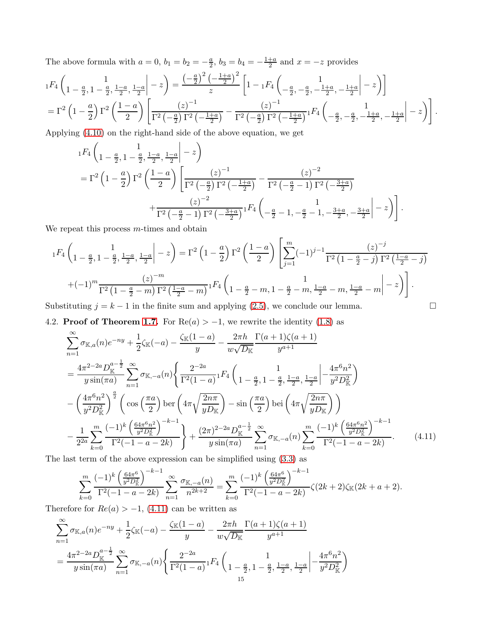The above formula with  $a = 0$ ,  $b_1 = b_2 = -\frac{a}{2}$  $\frac{a}{2}$ ,  $b_3 = b_4 = -\frac{1+a}{2}$  $\frac{+a}{2}$  and  $x = -z$  provides

$$
{}_{1}F_{4}\left(1-\frac{a}{2},1-\frac{a}{2},\frac{1-a}{2},\frac{1-a}{2}\Big| - z\right) = \frac{\left(-\frac{a}{2}\right)^{2}\left(-\frac{1+a}{2}\right)^{2}}{z}\left[1-\,_1F_{4}\left(-\frac{a}{2},-\frac{a}{2},-\frac{1+a}{2},-\frac{1+a}{2}\Big| - z\right)\right]
$$

$$
= \Gamma^{2}\left(1-\frac{a}{2}\right)\Gamma^{2}\left(\frac{1-a}{2}\right)\left[\frac{(z)^{-1}}{\Gamma^{2}\left(-\frac{a}{2}\right)\Gamma^{2}\left(-\frac{1+a}{2}\right)} - \frac{(z)^{-1}}{\Gamma^{2}\left(-\frac{a}{2}\right)\Gamma^{2}\left(-\frac{1+a}{2}\right)}{}_{1}F_{4}\left(-\frac{a}{2},-\frac{a}{2},-\frac{1+a}{2},-\frac{1+a}{2}\Big| - z\right)\right].
$$

Applying [\(4.10\)](#page-13-2) on the right-hand side of the above equation, we get

$$
{}_{1}F_{4}\left(1-\frac{a}{2},1-\frac{a}{2},\frac{1-a}{2},\frac{1-a}{2}\right) = \Gamma^{2}\left(1-\frac{a}{2}\right)\Gamma^{2}\left(\frac{1-a}{2}\right)\left[\frac{(z)^{-1}}{\Gamma^{2}\left(-\frac{a}{2}\right)\Gamma^{2}\left(-\frac{1+a}{2}\right)} - \frac{(z)^{-2}}{\Gamma^{2}\left(-\frac{a}{2}-1\right)\Gamma^{2}\left(-\frac{3+a}{2}\right)} + \frac{(z)^{-2}}{\Gamma^{2}\left(-\frac{a}{2}-1\right)\Gamma^{2}\left(-\frac{3+a}{2}\right)}{}_{1}F_{4}\left(1-\frac{a}{2}-1,-\frac{a}{2}-1,-\frac{3+a}{2},-\frac{3+a}{2}\right) - z\right).
$$

We repeat this process  $m$ -times and obtain

$$
{}_{1}F_{4}\left(1-\frac{a}{2},1-\frac{a}{2},\frac{1-a}{2},\frac{1-a}{2}\right)-z\right) = \Gamma^{2}\left(1-\frac{a}{2}\right)\Gamma^{2}\left(\frac{1-a}{2}\right)\left[\sum_{j=1}^{m}(-1)^{j-1}\frac{(z)^{-j}}{\Gamma^{2}\left(1-\frac{a}{2}-j\right)\Gamma^{2}\left(\frac{1-a}{2}-j\right)}\right]
$$

$$
+(-1)^{m}\frac{(z)^{-m}}{\Gamma^{2}\left(1-\frac{a}{2}-m\right)\Gamma^{2}\left(\frac{1-a}{2}-m\right)}{}_{1}F_{4}\left(1-\frac{a}{2}-m,1-\frac{a}{2}-m,\frac{1-a}{2}-m,\frac{1-a}{2}-m\right)-z\right).
$$

Substituting  $j = k - 1$  in the finite sum and applying [\(2.5\)](#page-5-6), we conclude our lemma.

<span id="page-14-0"></span>4.2. **Proof of Theorem [1.7.](#page-3-1)** For  $\text{Re}(a) > -1$ , we rewrite the identity [\(1.8\)](#page-3-3) as

$$
\sum_{n=1}^{\infty} \sigma_{\mathbb{K},a}(n)e^{-ny} + \frac{1}{2}\zeta_{\mathbb{K}}(-a) - \frac{\zeta_{\mathbb{K}}(1-a)}{y} - \frac{2\pi h}{w\sqrt{D_{\mathbb{K}}}}\frac{\Gamma(a+1)\zeta(a+1)}{y^{a+1}}
$$
\n
$$
= \frac{4\pi^{2-2a}D_{\mathbb{K}}^{a-\frac{1}{2}}}{y\sin(\pi a)}\sum_{n=1}^{\infty} \sigma_{\mathbb{K},-a}(n) \left\{ \frac{2^{-2a}}{\Gamma^{2}(1-a)} {}_{1}F_{4}\left( \frac{1}{1-\frac{a}{2}, 1-\frac{a}{2}, \frac{1-a}{2}} \frac{1-a}{2} \left| -\frac{4\pi^{6}n^{2}}{y^{2}D_{\mathbb{K}}^{2}} \right. \right) - \left( \frac{4\pi^{6}n^{2}}{y^{2}D_{\mathbb{K}}^{2}} \right)^{\frac{a}{2}} \left( \cos\left(\frac{\pi a}{2}\right) \text{ber}\left( 4\pi \sqrt{\frac{2n\pi}{yD_{\mathbb{K}}}} \right) - \sin\left(\frac{\pi a}{2}\right) \text{bei}\left( 4\pi \sqrt{\frac{2n\pi}{yD_{\mathbb{K}}}} \right) \right) - \frac{1}{2^{2a}} \sum_{k=0}^{\infty} \frac{(-1)^{k} \left( \frac{64\pi^{6}n^{2}}{y^{2}D_{\mathbb{K}}^{2}} \right)^{-k-1}}{\Gamma^{2}(-1-a-2k)} + \frac{(2\pi)^{2-2a}D_{\mathbb{K}}^{a-\frac{1}{2}}}{y \sin(\pi a)} \sum_{n=1}^{\infty} \sigma_{\mathbb{K},-a}(n) \sum_{k=0}^{\infty} \frac{(-1)^{k} \left( \frac{64\pi^{6}n^{2}}{y^{2}D_{\mathbb{K}}^{2}} \right)^{-k-1}}{\Gamma^{2}(-1-a-2k)} \tag{4.11}
$$

The last term of the above expression can be simplified using [\(3.3\)](#page-8-4) as

<span id="page-14-1"></span>
$$
\sum_{k=0}^{m} \frac{(-1)^k \left(\frac{64\pi^6}{y^2 D_\mathbb{K}^2}\right)^{-k-1}}{\Gamma^2(-1-a-2k)} \sum_{n=1}^{\infty} \frac{\sigma_{\mathbb{K},-a}(n)}{n^{2k+2}} = \sum_{k=0}^{m} \frac{(-1)^k \left(\frac{64\pi^6}{y^2 D_\mathbb{K}^2}\right)^{-k-1}}{\Gamma^2(-1-a-2k)} \zeta(2k+2)\zeta_{\mathbb{K}}(2k+a+2).
$$

Therefore for  $Re(a) > -1$ , [\(4.11\)](#page-14-1) can be written as

$$
\sum_{n=1}^{\infty} \sigma_{\mathbb{K},a}(n) e^{-ny} + \frac{1}{2} \zeta_{\mathbb{K}}(-a) - \frac{\zeta_{\mathbb{K}}(1-a)}{y} - \frac{2\pi h}{w\sqrt{D_{\mathbb{K}}}} \frac{\Gamma(a+1)\zeta(a+1)}{y^{a+1}}
$$

$$
= \frac{4\pi^{2-2a} D_{\mathbb{K}}^{a-\frac{1}{2}}}{y \sin(\pi a)} \sum_{n=1}^{\infty} \sigma_{\mathbb{K},-a}(n) \left\{ \frac{2^{-2a}}{\Gamma^{2}(1-a)} {}_{1}F_{4}\left( \frac{1}{1-\frac{a}{2}, 1-\frac{a}{2}, \frac{1-a}{2}, \frac{1-a}{2}} \Big| -\frac{4\pi^{6} n^{2}}{y^{2} D_{\mathbb{K}}^{2}} \right) \right\}
$$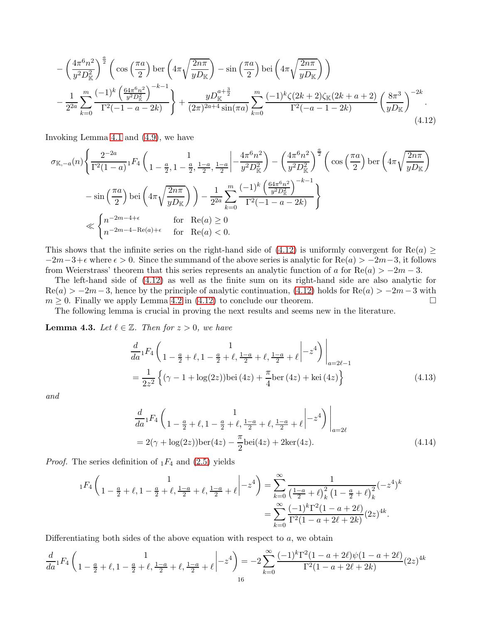<span id="page-15-0"></span>
$$
-\left(\frac{4\pi^{6}n^{2}}{y^{2}D_{\mathbb{K}}^{2}}\right)^{\frac{a}{2}}\left(\cos\left(\frac{\pi a}{2}\right)\ker\left(4\pi\sqrt{\frac{2n\pi}{yD_{\mathbb{K}}}}\right)-\sin\left(\frac{\pi a}{2}\right)\det\left(4\pi\sqrt{\frac{2n\pi}{yD_{\mathbb{K}}}}\right)\right) -\frac{1}{2^{2a}}\sum_{k=0}^{m}\frac{(-1)^{k}\left(\frac{64\pi^{6}n^{2}}{y^{2}D_{\mathbb{K}}^{2}}\right)^{-k-1}}{\Gamma^{2}(-1-a-2k)}\right\} + \frac{yD_{\mathbb{K}}^{a+\frac{3}{2}}}{(2\pi)^{2a+4}\sin(\pi a)}\sum_{k=0}^{m}\frac{(-1)^{k}\zeta(2k+2)\zeta_{\mathbb{K}}(2k+a+2)}{\Gamma^{2}(-a-1-2k)}\left(\frac{8\pi^{3}}{yD_{\mathbb{K}}}\right)^{-2k}.
$$
\n(4.12)

Invoking Lemma [4.1](#page-11-7) and [\(4.9\)](#page-13-1), we have

$$
\sigma_{\mathbb{K},-a}(n) \Biggl\{ \frac{2^{-2a}}{\Gamma^2 (1-a)} {}_1F_4 \left( \frac{1}{1-\frac{a}{2},1-\frac{a}{2},\frac{1-a}{2}},\frac{1-a}{2} \Big| -\frac{4\pi^6 n^2}{y^2 D_{\mathbb{K}}^2} \right) - \left( \frac{4\pi^6 n^2}{y^2 D_{\mathbb{K}}^2} \right)^{\frac{a}{2}} \left( \cos\left(\frac{\pi a}{2}\right) \text{ber} \left( 4\pi \sqrt{\frac{2n\pi}{yD_{\mathbb{K}}}} \right) \right) - \sin\left(\frac{\pi a}{2}\right) \text{bei} \left( 4\pi \sqrt{\frac{2n\pi}{yD_{\mathbb{K}}}} \right) \Biggr) - \frac{1}{2^{2a}} \sum_{k=0}^{m} \frac{(-1)^k \left( \frac{64\pi^6 n^2}{y^2 D_{\mathbb{K}}^2} \right)^{-k-1}}{\Gamma^2 (-1-a-2k)} \Biggr\} \Biggr\}
$$
  

$$
\ll \left\{ n^{-2m-4+\epsilon} \qquad \text{for} \quad \text{Re}(a) \ge 0 \qquad \text{for} \quad \text{Re}(a) < 0.
$$

This shows that the infinite series on the right-hand side of [\(4.12\)](#page-15-0) is uniformly convergent for  $\text{Re}(a) \geq$  $-2m-3+\epsilon$  where  $\epsilon > 0$ . Since the summand of the above series is analytic for Re(a)  $> -2m-3$ , it follows from Weierstrass' theorem that this series represents an analytic function of a for  $\text{Re}(a) > -2m - 3$ .

The left-hand side of [\(4.12\)](#page-15-0) as well as the finite sum on its right-hand side are also analytic for  $\text{Re}(a) > -2m-3$ , hence by the principle of analytic continuation, [\(4.12\)](#page-15-0) holds for  $\text{Re}(a) > -2m-3$  with  $m > 0$ . Finally we apply Lemma 4.2 in (4.12) to conclude our theorem.  $m \geq 0$ . Finally we apply Lemma [4.2](#page-13-3) in [\(4.12\)](#page-15-0) to conclude our theorem.

The following lemma is crucial in proving the next results and seems new in the literature.

**Lemma 4.3.** Let  $\ell \in \mathbb{Z}$ . Then for  $z > 0$ , we have

$$
\frac{d}{da} {}_1F_4 \left( 1 - \frac{a}{2} + \ell, 1 - \frac{a}{2} + \ell, \frac{1-a}{2} + \ell, \frac{1-a}{2} + \ell \right) \Big|_{a=2\ell-1}
$$
\n
$$
= \frac{1}{2z^2} \left\{ (\gamma - 1 + \log(2z)) \text{bei}\left(4z\right) + \frac{\pi}{4} \text{ber}\left(4z\right) + \text{kei}\left(4z\right) \right\} \tag{4.13}
$$

*and*

<span id="page-15-2"></span><span id="page-15-1"></span>
$$
\frac{d}{da} {}_1F_4 \left( 1 - \frac{a}{2} + \ell, 1 - \frac{a}{2} + \ell, \frac{1-a}{2} + \ell, \frac{1-a}{2} + \ell \right) \Big|_{a=2\ell}
$$
\n
$$
= 2(\gamma + \log(2z)) \text{ber}(4z) - \frac{\pi}{2} \text{bei}(4z) + 2\text{ker}(4z). \tag{4.14}
$$

*Proof.* The series definition of  $_1F_4$  and [\(2.5\)](#page-5-6) yields

$$
{}_{1}F_{4}\left(1-\frac{a}{2}+\ell,1-\frac{a}{2}+\ell,\frac{1-a}{2}+\ell,\frac{1-a}{2}+\ell\right) = \sum_{k=0}^{\infty} \frac{1}{\left(\frac{1-a}{2}+\ell\right)_{k}^{2} \left(1-\frac{a}{2}+\ell\right)_{k}^{2}} (-z^{4})^{k}
$$

$$
= \sum_{k=0}^{\infty} \frac{(-1)^{k} \Gamma^{2} (1-a+2\ell)}{\Gamma^{2} (1-a+2\ell+2k)} (2z)^{4k}.
$$

Differentiating both sides of the above equation with respect to  $a$ , we obtain

$$
\frac{d}{da}\left[ F_4\left(1 - \frac{a}{2} + \ell, 1 - \frac{a}{2} + \ell, \frac{1-a}{2} + \ell, \frac{1-a}{2} + \ell \right] \right] = -2\sum_{k=0}^{\infty} \frac{(-1)^k \Gamma^2 (1 - a + 2\ell) \psi (1 - a + 2\ell)}{\Gamma^2 (1 - a + 2\ell + 2k)} (2z)^{4k}
$$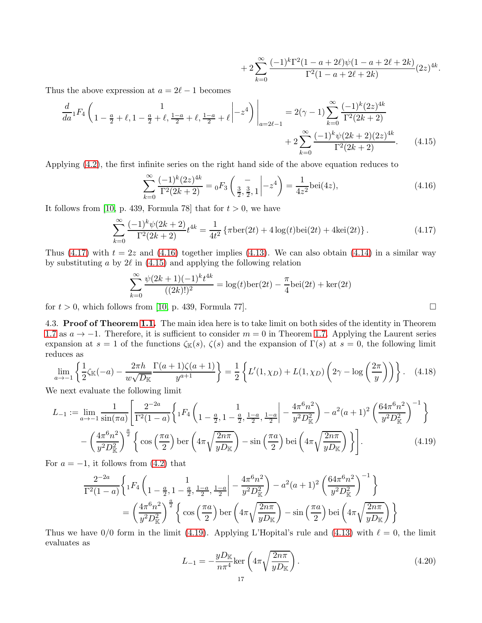$$
+ 2\sum_{k=0}^{\infty} \frac{(-1)^k \Gamma^2 (1 - a + 2\ell)\psi (1 - a + 2\ell + 2k)}{\Gamma^2 (1 - a + 2\ell + 2k)} (2z)^{4k}
$$

<span id="page-16-3"></span><span id="page-16-2"></span><span id="page-16-1"></span>.

Thus the above expression at  $a = 2\ell - 1$  becomes

$$
\frac{d}{da} {}_1F_4\left(1 - \frac{a}{2} + \ell, 1 - \frac{a}{2} + \ell, \frac{1-a}{2} + \ell, \frac{1-a}{2} + \ell \middle| -z^4\right)\Big|_{a=2\ell-1} = 2(\gamma - 1) \sum_{k=0}^{\infty} \frac{(-1)^k (2z)^{4k}}{\Gamma^2 (2k+2)} + 2 \sum_{k=0}^{\infty} \frac{(-1)^k \psi(2k+2)(2z)^{4k}}{\Gamma^2 (2k+2)}.
$$
\n(4.15)

Applying [\(4.2\)](#page-11-8), the first infinite series on the right hand side of the above equation reduces to

$$
\sum_{k=0}^{\infty} \frac{(-1)^k (2z)^{4k}}{\Gamma^2 (2k+2)} = {}_0F_3 \left( \frac{-}{\frac{3}{2}, \frac{3}{2}, 1} \middle| -z^4 \right) = \frac{1}{4z^2} \text{bei}(4z),\tag{4.16}
$$

It follows from [\[10,](#page-24-30) p. 439, Formula 78] that for  $t > 0$ , we have

$$
\sum_{k=0}^{\infty} \frac{(-1)^k \psi(2k+2)}{\Gamma^2(2k+2)} t^{4k} = \frac{1}{4t^2} \left\{ \pi \text{ber}(2t) + 4\log(t) \text{bei}(2t) + 4\text{kei}(2t) \right\}. \tag{4.17}
$$

Thus [\(4.17\)](#page-16-1) with  $t = 2z$  and [\(4.16\)](#page-16-2) together implies [\(4.13\)](#page-15-1). We can also obtain [\(4.14\)](#page-15-2) in a similar way by substituting a by  $2\ell$  in [\(4.15\)](#page-16-3) and applying the following relation

$$
\sum_{k=0}^{\infty} \frac{\psi(2k+1)(-1)^k t^{4k}}{((2k)!)^2} = \log(t) \text{ber}(2t) - \frac{\pi}{4} \text{bei}(2t) + \text{ker}(2t)
$$

<span id="page-16-0"></span>for  $t > 0$ , which follows from [\[10,](#page-24-30) p. 439, Formula 77].

4.3. Proof of Theorem [1.1.](#page-2-0) The main idea here is to take limit on both sides of the identity in Theorem [1.7](#page-3-1) as  $a \to -1$ . Therefore, it is sufficient to consider  $m = 0$  in Theorem [1.7.](#page-3-1) Applying the Laurent series expansion at  $s = 1$  of the functions  $\zeta_{\mathbb{K}}(s)$ ,  $\zeta(s)$  and the expansion of  $\Gamma(s)$  at  $s = 0$ , the following limit reduces as

$$
\lim_{a \to -1} \left\{ \frac{1}{2} \zeta_{\mathbb{K}}(-a) - \frac{2\pi h}{w\sqrt{D_{\mathbb{K}}}} \frac{\Gamma(a+1)\zeta(a+1)}{y^{a+1}} \right\} = \frac{1}{2} \left\{ L'(1,\chi_D) + L(1,\chi_D) \left( 2\gamma - \log\left(\frac{2\pi}{y}\right) \right) \right\}. \tag{4.18}
$$

We next evaluate the following limit

$$
L_{-1} := \lim_{a \to -1} \frac{1}{\sin(\pi a)} \left[ \frac{2^{-2a}}{\Gamma^2 (1-a)} \left\{ {}_1F_4 \left( \frac{1}{1-\frac{a}{2}, 1-\frac{a}{2}, \frac{1-a}{2}}, \frac{1-a}{2} \Big| - \frac{4\pi^6 n^2}{y^2 D_{\mathbb{K}}^2} \right) - a^2 (a+1)^2 \left( \frac{64\pi^6 n^2}{y^2 D_{\mathbb{K}}^2} \right)^{-1} \right\} - \left( \frac{4\pi^6 n^2}{y^2 D_{\mathbb{K}}^2} \right)^{\frac{a}{2}} \left\{ \cos \left( \frac{\pi a}{2} \right) \text{ber} \left( 4\pi \sqrt{\frac{2n\pi}{y D_{\mathbb{K}}}} \right) - \sin \left( \frac{\pi a}{2} \right) \text{bei} \left( 4\pi \sqrt{\frac{2n\pi}{y D_{\mathbb{K}}}} \right) \right\} \right].
$$
 (4.19)

For  $a = -1$ , it follows from  $(4.2)$  that

$$
\frac{2^{-2a}}{\Gamma^2(1-a)} \left\{ {}_1F_4 \left( \frac{1}{1-\frac{a}{2}, 1-\frac{a}{2}, \frac{1-a}{2}, \frac{1-a}{2}} \Big| - \frac{4\pi^6 n^2}{y^2 D_{\mathbb{K}}^2} \right) - a^2 (a+1)^2 \left( \frac{64\pi^6 n^2}{y^2 D_{\mathbb{K}}^2} \right)^{-1} \right\}
$$
  
=  $\left( \frac{4\pi^6 n^2}{y^2 D_{\mathbb{K}}^2} \right)^{\frac{a}{2}} \left\{ \cos \left( \frac{\pi a}{2} \right) \text{ber} \left( 4\pi \sqrt{\frac{2n\pi}{yD_{\mathbb{K}}}} \right) - \sin \left( \frac{\pi a}{2} \right) \text{bei} \left( 4\pi \sqrt{\frac{2n\pi}{yD_{\mathbb{K}}}} \right) \right\}$ 

Thus we have 0/0 form in the limit [\(4.19\)](#page-16-4). Applying L'Hopital's rule and [\(4.13\)](#page-15-1) with  $\ell = 0$ , the limit evaluates as

<span id="page-16-6"></span><span id="page-16-5"></span><span id="page-16-4"></span>
$$
L_{-1} = -\frac{yD_{\mathbb{K}}}{n\pi^4} \text{ker}\left(4\pi\sqrt{\frac{2n\pi}{yD_{\mathbb{K}}}}\right).
$$
\n(4.20)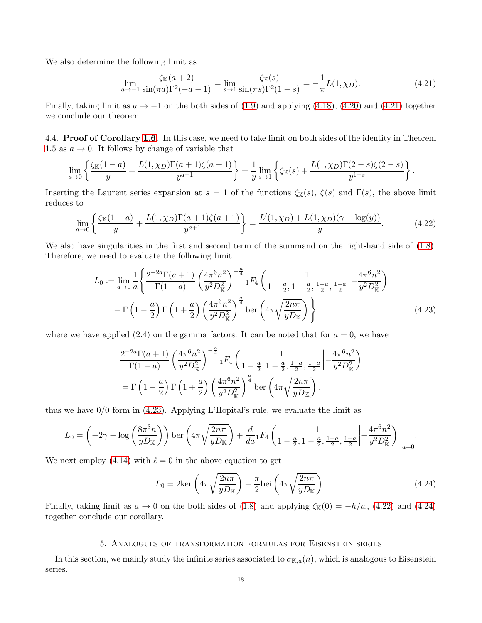We also determine the following limit as

<span id="page-17-2"></span>
$$
\lim_{a \to -1} \frac{\zeta(\mathbb{K}(a+2))}{\sin(\pi a)\Gamma^2(-a-1)} = \lim_{s \to 1} \frac{\zeta(\mathbb{K}(s))}{\sin(\pi s)\Gamma^2(1-s)} = -\frac{1}{\pi}L(1,\chi_D). \tag{4.21}
$$

Finally, taking limit as  $a \to -1$  on the both sides of [\(1.9\)](#page-4-8) and applying [\(4.18\)](#page-16-5), [\(4.20\)](#page-16-6) and [\(4.21\)](#page-17-2) together we conclude our theorem.

<span id="page-17-0"></span>4.4. **Proof of Corollary [1.6.](#page-3-2)** In this case, we need to take limit on both sides of the identity in Theorem [1.5](#page-3-0) as  $a \rightarrow 0$ . It follows by change of variable that

$$
\lim_{a \to 0} \left\{ \frac{\zeta_{\mathbb{K}}(1-a)}{y} + \frac{L(1,\chi_D)\Gamma(a+1)\zeta(a+1)}{y^{a+1}} \right\} = \frac{1}{y} \lim_{s \to 1} \left\{ \zeta_{\mathbb{K}}(s) + \frac{L(1,\chi_D)\Gamma(2-s)\zeta(2-s)}{y^{1-s}} \right\}.
$$

Inserting the Laurent series expansion at  $s = 1$  of the functions  $\zeta_{\mathbb{K}}(s)$ ,  $\zeta(s)$  and  $\Gamma(s)$ , the above limit reduces to

$$
\lim_{a \to 0} \left\{ \frac{\zeta_{\mathbb{K}}(1-a)}{y} + \frac{L(1,\chi_D)\Gamma(a+1)\zeta(a+1)}{y^{a+1}} \right\} = \frac{L'(1,\chi_D) + L(1,\chi_D)(\gamma - \log(y))}{y}.
$$
 (4.22)

We also have singularities in the first and second term of the summand on the right-hand side of  $(1.8)$ . Therefore, we need to evaluate the following limit

<span id="page-17-4"></span>
$$
L_0 := \lim_{a \to 0} \frac{1}{a} \left\{ \frac{2^{-2a} \Gamma(a+1)}{\Gamma(1-a)} \left( \frac{4\pi^6 n^2}{y^2 D_{\mathbb{K}}^2} \right)^{-\frac{a}{4}} {}_{1}F_4 \left( \frac{1}{1 - \frac{a}{2}, 1 - \frac{a}{2}, \frac{1-a}{2}, \frac{1-a}{2}} \left| -\frac{4\pi^6 n^2}{y^2 D_{\mathbb{K}}^2} \right) \right. \\ - \Gamma \left( 1 - \frac{a}{2} \right) \Gamma \left( 1 + \frac{a}{2} \right) \left( \frac{4\pi^6 n^2}{y^2 D_{\mathbb{K}}^2} \right)^{\frac{a}{4}} \text{ber} \left( 4\pi \sqrt{\frac{2n\pi}{y D_{\mathbb{K}}} } \right) \right\} \tag{4.23}
$$

where we have applied  $(2.4)$  on the gamma factors. It can be noted that for  $a = 0$ , we have

<span id="page-17-3"></span>
$$
\frac{2^{-2a}\Gamma(a+1)}{\Gamma(1-a)} \left(\frac{4\pi^6 n^2}{y^2 D_{\mathbb{K}}^2}\right)^{-\frac{a}{4}} {}_1F_4\left( \frac{1}{1-\frac{a}{2}, 1-\frac{a}{2}, \frac{1-a}{2}, \frac{1-a}{2}} \Big| -\frac{4\pi^6 n^2}{y^2 D_{\mathbb{K}}^2} \right)
$$
  
=  $\Gamma\left(1-\frac{a}{2}\right) \Gamma\left(1+\frac{a}{2}\right) \left(\frac{4\pi^6 n^2}{y^2 D_{\mathbb{K}}^2}\right)^{\frac{a}{4}} \text{ber}\left(4\pi \sqrt{\frac{2n\pi}{y D_{\mathbb{K}}}}\right),$ 

thus we have 0/0 form in [\(4.23\)](#page-17-3). Applying L'Hopital's rule, we evaluate the limit as

$$
L_0 = \left(-2\gamma - \log\left(\frac{8\pi^3 n}{yD_{\mathbb{K}}}\right)\right) \ker\left(4\pi \sqrt{\frac{2n\pi}{yD_{\mathbb{K}}}}\right) + \frac{d}{da} {}_1F_4\left(1 - \frac{1}{2}, 1 - \frac{a}{2}, \frac{1-a}{2}, \frac{1-a}{2}\left|-\frac{4\pi^6 n^2}{y^2 D_{\mathbb{K}}^2}\right|\right)_{a=0}.
$$

We next employ [\(4.14\)](#page-15-2) with  $\ell = 0$  in the above equation to get

<span id="page-17-5"></span>
$$
L_0 = 2\ker\left(4\pi\sqrt{\frac{2n\pi}{yD_{\mathbb{K}}}}\right) - \frac{\pi}{2}\mathrm{bei}\left(4\pi\sqrt{\frac{2n\pi}{yD_{\mathbb{K}}}}\right). \tag{4.24}
$$

Finally, taking limit as  $a \to 0$  on the both sides of [\(1.8\)](#page-3-3) and applying  $\zeta_{\mathbb{K}}(0) = -h/w$ , [\(4.22\)](#page-17-4) and [\(4.24\)](#page-17-5) together conclude our corollary.

### 5. Analogues of transformation formulas for Eisenstein series

<span id="page-17-1"></span>In this section, we mainly study the infinite series associated to  $\sigma_{\mathbb{K},a}(n)$ , which is analogous to Eisenstein series.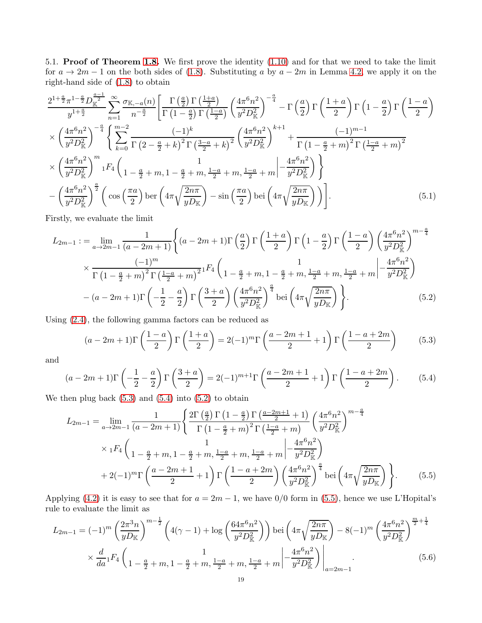<span id="page-18-0"></span>5.1. Proof of Theorem [1.8.](#page-4-2) We first prove the identity [\(1.10\)](#page-4-3) and for that we need to take the limit for  $a \to 2m - 1$  on the both sides of [\(1.8\)](#page-3-3). Substituting a by  $a - 2m$  in Lemma [4.2,](#page-13-3) we apply it on the right-hand side of [\(1.8\)](#page-3-3) to obtain

$$
\frac{2^{1+\frac{a}{2}}\pi^{1-\frac{a}{2}}D_{\mathbb{K}}^{\frac{a-1}{2}}}{y^{1+\frac{a}{2}}}\sum_{n=1}^{\infty}\frac{\sigma_{\mathbb{K},-a}(n)}{n^{-\frac{a}{2}}}\left[\frac{\Gamma(\frac{a}{2})\Gamma(\frac{1+a}{2})}{\Gamma(1-\frac{a}{2})\Gamma(\frac{1-a}{2})}\left(\frac{4\pi^{6}n^{2}}{y^{2}D_{\mathbb{K}}^{2}}\right)^{-\frac{a}{4}}-\Gamma(\frac{a}{2})\Gamma(\frac{1+a}{2})\Gamma(1-\frac{a}{2})\Gamma(\frac{1-a}{2})\right]
$$

$$
\times\left(\frac{4\pi^{6}n^{2}}{y^{2}D_{\mathbb{K}}^{2}}\right)^{-\frac{a}{4}}\left\{\sum_{k=0}^{m-2}\frac{(-1)^{k}}{\Gamma(2-\frac{a}{2}+k)^{2}\Gamma(\frac{3-a}{2}+k)^{2}}\left(\frac{4\pi^{6}n^{2}}{y^{2}D_{\mathbb{K}}^{2}}\right)^{k+1}+\frac{(-1)^{m-1}}{\Gamma(1-\frac{a}{2}+m)^{2}\Gamma(\frac{1-a}{2}+m)^{2}}
$$

$$
\times\left(\frac{4\pi^{6}n^{2}}{y^{2}D_{\mathbb{K}}^{2}}\right)^{m}{}_{1}F_{4}\left(1-\frac{a}{2}+m,1-\frac{a}{2}+m,\frac{1-a}{2}+m,\frac{1-a}{2}+m\right)-\frac{4\pi^{6}n^{2}}{y^{2}D_{\mathbb{K}}^{2}}\right\}
$$

$$
-\left(\frac{4\pi^{6}n^{2}}{y^{2}D_{\mathbb{K}}^{2}}\right)^{\frac{a}{2}}\left(\cos\left(\frac{\pi a}{2}\right)\ker\left(4\pi\sqrt{\frac{2n\pi}{yD_{\mathbb{K}}}}\right)-\sin\left(\frac{\pi a}{2}\right)\det\left(4\pi\sqrt{\frac{2n\pi}{yD_{\mathbb{K}}}}\right)\right).
$$
(5.1)

Firstly, we evaluate the limit

$$
L_{2m-1} := \lim_{a \to 2m-1} \frac{1}{(a-2m+1)} \left\{ (a-2m+1) \Gamma\left(\frac{a}{2}\right) \Gamma\left(\frac{1+a}{2}\right) \Gamma\left(1-\frac{a}{2}\right) \Gamma\left(\frac{1-a}{2}\right) \left(\frac{4\pi^6 n^2}{y^2 D_{\rm K}^2}\right)^{m-\frac{a}{4}} \right\}
$$
  

$$
\times \frac{(-1)^m}{\Gamma\left(1-\frac{a}{2}+m\right)^2 \Gamma\left(\frac{1-a}{2}+m\right)^{2}} {}_1F_4\left(1-\frac{a}{2}+m, 1-\frac{a}{2}+m, \frac{1-a}{2}+m, \frac{1-a}{2}+m\right) \left(-\frac{4\pi^6 n^2}{y^2 D_{\rm K}^2}\right)
$$

$$
-(a-2m+1)\Gamma\left(-\frac{1}{2}-\frac{a}{2}\right) \Gamma\left(\frac{3+a}{2}\right) \left(\frac{4\pi^6 n^2}{y^2 D_{\rm K}^2}\right)^{\frac{a}{4}} \text{bei}\left(4\pi \sqrt{\frac{2n\pi}{y D_{\rm K}}}\right) \right\}.
$$
(5.2)

Using [\(2.4\)](#page-5-5), the following gamma factors can be reduced as

<span id="page-18-6"></span><span id="page-18-3"></span><span id="page-18-2"></span><span id="page-18-1"></span>
$$
(a-2m+1)\Gamma\left(\frac{1-a}{2}\right)\Gamma\left(\frac{1+a}{2}\right) = 2(-1)^m\Gamma\left(\frac{a-2m+1}{2}+1\right)\Gamma\left(\frac{1-a+2m}{2}\right) \tag{5.3}
$$

and

$$
(a-2m+1)\Gamma\left(-\frac{1}{2}-\frac{a}{2}\right)\Gamma\left(\frac{3+a}{2}\right) = 2(-1)^{m+1}\Gamma\left(\frac{a-2m+1}{2}+1\right)\Gamma\left(\frac{1-a+2m}{2}\right). \tag{5.4}
$$

We then plug back  $(5.3)$  and  $(5.4)$  into  $(5.2)$  to obtain

<span id="page-18-4"></span>
$$
L_{2m-1} = \lim_{a \to 2m-1} \frac{1}{(a-2m+1)} \left\{ \frac{2\Gamma\left(\frac{a}{2}\right)\Gamma\left(1-\frac{a}{2}\right)\Gamma\left(\frac{a-2m+1}{2}+1\right)}{\Gamma\left(1-\frac{a}{2}+m\right)^2\Gamma\left(\frac{1-a}{2}+m\right)} \left(\frac{4\pi^6 n^2}{y^2 D_{\mathbb{K}}^2}\right)^{m-\frac{a}{4}} \times {}_1F_4\left(1-\frac{a}{2}+m,1-\frac{a}{2}+m,\frac{1-a}{2}+m,\frac{1-a}{2}+m\right) \left[-\frac{4\pi^6 n^2}{y^2 D_{\mathbb{K}}^2}\right) + 2(-1)^m \Gamma\left(\frac{a-2m+1}{2}+1\right) \Gamma\left(\frac{1-a+2m}{2}\right) \left(\frac{4\pi^6 n^2}{y^2 D_{\mathbb{K}}^2}\right)^{\frac{a}{4}} \text{bei}\left(4\pi \sqrt{\frac{2n\pi}{y D_{\mathbb{K}}}}\right)\right\}.
$$
 (5.5)

Applying [\(4.2\)](#page-11-8) it is easy to see that for  $a = 2m - 1$ , we have 0/0 form in [\(5.5\)](#page-18-4), hence we use L'Hopital's rule to evaluate the limit as

<span id="page-18-5"></span>
$$
L_{2m-1} = (-1)^m \left(\frac{2\pi^3 n}{yD_{\mathbb{K}}}\right)^{m-\frac{1}{2}} \left(4(\gamma - 1) + \log\left(\frac{64\pi^6 n^2}{y^2 D_{\mathbb{K}}^2}\right)\right) \text{bei}\left(4\pi \sqrt{\frac{2n\pi}{yD_{\mathbb{K}}}}\right) - 8(-1)^m \left(\frac{4\pi^6 n^2}{y^2 D_{\mathbb{K}}^2}\right)^{\frac{m}{2}+\frac{1}{4}} \times \frac{d}{da} {}_1F_4\left(1 - \frac{a}{2} + m, 1 - \frac{a}{2} + m, \frac{1-a}{2} + m, \frac{1-a}{2} + m\right) - \frac{4\pi^6 n^2}{y^2 D_{\mathbb{K}}^2}\right) \Big|_{a=2m-1}.
$$
\n(5.6)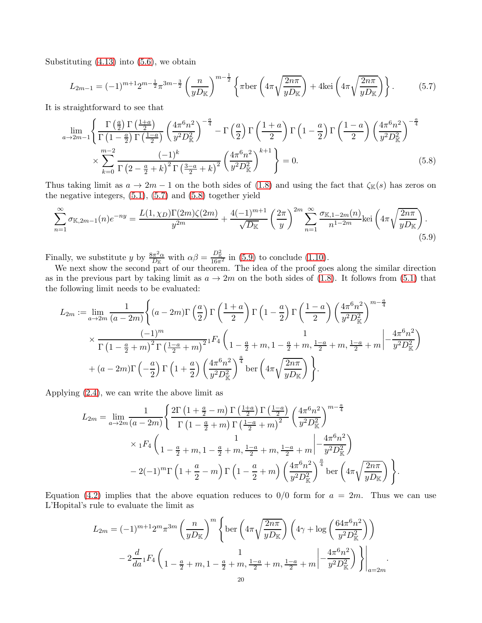Substituting  $(4.13)$  into  $(5.6)$ , we obtain

<span id="page-19-0"></span>
$$
L_{2m-1} = (-1)^{m+1} 2^{m-\frac{1}{2}} \pi^{3m-\frac{3}{2}} \left(\frac{n}{yD_{\mathbb{K}}}\right)^{m-\frac{1}{2}} \left\{ \pi \text{ber} \left(4\pi \sqrt{\frac{2n\pi}{yD_{\mathbb{K}}}}\right) + 4 \text{kei} \left(4\pi \sqrt{\frac{2n\pi}{yD_{\mathbb{K}}}}\right) \right\}.
$$
 (5.7)

It is straightforward to see that

<span id="page-19-1"></span>
$$
\lim_{a \to 2m-1} \left\{ \frac{\Gamma\left(\frac{a}{2}\right) \Gamma\left(\frac{1+a}{2}\right)}{\Gamma\left(1-\frac{a}{2}\right) \Gamma\left(\frac{1-a}{2}\right)} \left(\frac{4\pi^6 n^2}{y^2 D_{\mathbb{K}}^2}\right)^{-\frac{a}{4}} - \Gamma\left(\frac{a}{2}\right) \Gamma\left(\frac{1+a}{2}\right) \Gamma\left(1-\frac{a}{2}\right) \Gamma\left(\frac{1-a}{2}\right) \left(\frac{4\pi^6 n^2}{y^2 D_{\mathbb{K}}^2}\right)^{-\frac{a}{4}} \times \sum_{k=0}^{m-2} \frac{(-1)^k}{\Gamma\left(2-\frac{a}{2}+k\right)^2 \Gamma\left(\frac{3-a}{2}+k\right)^2} \left(\frac{4\pi^6 n^2}{y^2 D_{\mathbb{K}}^2}\right)^{k+1} \right\} = 0.
$$
\n(5.8)

Thus taking limit as  $a \to 2m - 1$  on the both sides of [\(1.8\)](#page-3-3) and using the fact that  $\zeta_{\mathbb{K}}(s)$  has zeros on the negative integers,  $(5.1)$ ,  $(5.7)$  and  $(5.8)$  together yield

$$
\sum_{n=1}^{\infty} \sigma_{\mathbb{K},2m-1}(n) e^{-ny} = \frac{L(1,\chi_D) \Gamma(2m) \zeta(2m)}{y^{2m}} + \frac{4(-1)^{m+1}}{\sqrt{D_{\mathbb{K}}}} \left(\frac{2\pi}{y}\right)^{2m} \sum_{n=1}^{\infty} \frac{\sigma_{\mathbb{K},1-2m}(n)}{n^{1-2m}} \text{kei}\left(4\pi \sqrt{\frac{2n\pi}{yD_{\mathbb{K}}}}\right). \tag{5.9}
$$

Finally, we substitute y by  $\frac{8\pi^2\alpha}{D_v}$  $\frac{d\pi^2 \alpha}{dx}$  with  $\alpha \beta = \frac{D_{\mathbb{K}}^2}{16\pi^2}$  in [\(5.9\)](#page-19-2) to conclude [\(1.10\)](#page-4-3).

We next show the second part of our theorem. The idea of the proof goes along the similar direction as in the previous part by taking limit as  $a \to 2m$  on the both sides of [\(1.8\)](#page-3-3). It follows from [\(5.1\)](#page-18-6) that the following limit needs to be evaluated:

<span id="page-19-2"></span>
$$
L_{2m} := \lim_{a \to 2m} \frac{1}{(a-2m)} \left\{ (a-2m) \Gamma\left(\frac{a}{2}\right) \Gamma\left(\frac{1+a}{2}\right) \Gamma\left(1-\frac{a}{2}\right) \Gamma\left(\frac{1-a}{2}\right) \left(\frac{4\pi^6 n^2}{y^2 D_{\mathbb{K}}^2}\right)^{m-\frac{a}{4}} \times \frac{(-1)^m}{\Gamma\left(1-\frac{a}{2}+m\right)^2 \Gamma\left(\frac{1-a}{2}+m\right)^2} {}_1F_4\left(1-\frac{a}{2}+m, 1-\frac{a}{2}+m, \frac{1-a}{2}+m, \frac{1-a}{2}+m\right) \left(-\frac{4\pi^6 n^2}{y^2 D_{\mathbb{K}}^2}\right) \times \left(a-2m\right) \Gamma\left(-\frac{a}{2}\right) \Gamma\left(1+\frac{a}{2}\right) \left(\frac{4\pi^6 n^2}{y^2 D_{\mathbb{K}}^2}\right)^{\frac{a}{4}} \text{ber}\left(4\pi \sqrt{\frac{2n\pi}{yD_{\mathbb{K}}}}\right).
$$

Applying [\(2.4\)](#page-5-5), we can write the above limit as

$$
L_{2m} = \lim_{a \to 2m} \frac{1}{(a-2m)} \left\{ \frac{2\Gamma\left(1 + \frac{a}{2} - m\right)\Gamma\left(\frac{1+a}{2}\right)\Gamma\left(\frac{1-a}{2}\right)}{\Gamma\left(1 - \frac{a}{2} + m\right)\Gamma\left(\frac{1-a}{2} + m\right)^2} \left(\frac{4\pi^6 n^2}{y^2 D_{\mathbb{K}}^2}\right)^{m-\frac{a}{4}} \times {}_{1}F_{4}\left(1 - \frac{a}{2} + m, 1 - \frac{a}{2} + m, \frac{1-a}{2} + m, \frac{1-a}{2} + m\right) \left(-\frac{4\pi^6 n^2}{y^2 D_{\mathbb{K}}^2}\right) - 2(-1)^m \Gamma\left(1 + \frac{a}{2} - m\right)\Gamma\left(1 - \frac{a}{2} + m\right) \left(\frac{4\pi^6 n^2}{y^2 D_{\mathbb{K}}^2}\right)^{\frac{a}{4}} \text{ber}\left(4\pi\sqrt{\frac{2n\pi}{y D_{\mathbb{K}}}}\right)\right\}.
$$

Equation [\(4.2\)](#page-11-8) implies that the above equation reduces to  $0/0$  form for  $a = 2m$ . Thus we can use L'Hopital's rule to evaluate the limit as

$$
L_{2m} = (-1)^{m+1} 2^m \pi^{3m} \left(\frac{n}{yD_{\mathbb{K}}}\right)^m \left\{ \text{ber}\left(4\pi \sqrt{\frac{2n\pi}{yD_{\mathbb{K}}}}\right) \left(4\gamma + \log \left(\frac{64\pi^6 n^2}{y^2 D_{\mathbb{K}}^2}\right)\right) \right\}
$$

$$
-2\frac{d}{da} {}_1F_4\left(1 - \frac{a}{2} + m, 1 - \frac{a}{2} + m, \frac{1-a}{2} + m, \frac{1-a}{2} + m\right) \left[-\frac{4\pi^6 n^2}{y^2 D_{\mathbb{K}}^2}\right] \right\}\Big|_{a=2m}.
$$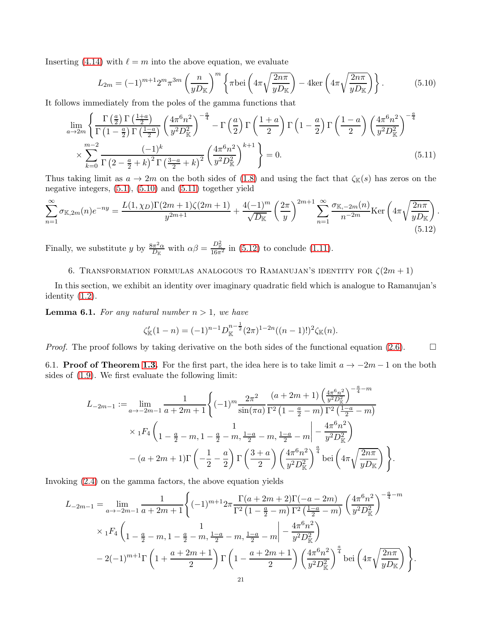Inserting [\(4.14\)](#page-15-2) with  $\ell = m$  into the above equation, we evaluate

<span id="page-20-2"></span>
$$
L_{2m} = (-1)^{m+1} 2^m \pi^{3m} \left(\frac{n}{yD_{\mathbb{K}}}\right)^m \left\{ \pi \text{bei}\left(4\pi \sqrt{\frac{2n\pi}{yD_{\mathbb{K}}}}\right) - 4\text{ker}\left(4\pi \sqrt{\frac{2n\pi}{yD_{\mathbb{K}}}}\right) \right\}.
$$
 (5.10)

It follows immediately from the poles of the gamma functions that

$$
\lim_{a \to 2m} \left\{ \frac{\Gamma\left(\frac{a}{2}\right) \Gamma\left(\frac{1+a}{2}\right)}{\Gamma\left(1-\frac{a}{2}\right) \Gamma\left(\frac{1-a}{2}\right)} \left(\frac{4\pi^6 n^2}{y^2 D_\mathbb{K}^2}\right)^{-\frac{a}{4}} - \Gamma\left(\frac{a}{2}\right) \Gamma\left(\frac{1+a}{2}\right) \Gamma\left(1-\frac{a}{2}\right) \Gamma\left(\frac{1-a}{2}\right) \left(\frac{4\pi^6 n^2}{y^2 D_\mathbb{K}^2}\right)^{-\frac{a}{4}} \times \sum_{k=0}^{m-2} \frac{(-1)^k}{\Gamma\left(2-\frac{a}{2}+k\right)^2 \Gamma\left(\frac{3-a}{2}+k\right)^2} \left(\frac{4\pi^6 n^2}{y^2 D_\mathbb{K}^2}\right)^{k+1} \right\} = 0.
$$
\n(5.11)

Thus taking limit as  $a \to 2m$  on the both sides of [\(1.8\)](#page-3-3) and using the fact that  $\zeta_{\mathbb{K}}(s)$  has zeros on the negative integers,  $(5.1)$ ,  $(5.10)$  and  $(5.11)$  together yield

$$
\sum_{n=1}^{\infty} \sigma_{\mathbb{K},2m}(n) e^{-ny} = \frac{L(1,\chi_D) \Gamma(2m+1) \zeta(2m+1)}{y^{2m+1}} + \frac{4(-1)^m}{\sqrt{D_{\mathbb{K}}}} \left(\frac{2\pi}{y}\right)^{2m+1} \sum_{n=1}^{\infty} \frac{\sigma_{\mathbb{K},-2m}(n)}{n^{-2m}} \text{Ker}\left(4\pi \sqrt{\frac{2n\pi}{yD_{\mathbb{K}}}}\right). \tag{5.12}
$$

<span id="page-20-0"></span>Finally, we substitute y by  $\frac{8\pi^2\alpha}{D_r}$  $\frac{d\pi^2 \alpha}{D_{\mathbb{K}}}$  with  $\alpha \beta = \frac{D_{\mathbb{K}}^2}{16\pi^2}$  in [\(5.12\)](#page-20-4) to conclude [\(1.11\)](#page-4-4).

## 6. TRANSFORMATION FORMULAS ANALOGOUS TO RAMANUJAN'S IDENTITY FOR  $\zeta(2m+1)$

In this section, we exhibit an identity over imaginary quadratic field which is analogue to Ramanujan's identity [\(1.2\)](#page-1-0).

<span id="page-20-5"></span>**Lemma 6.1.** For any natural number  $n > 1$ , we have

<span id="page-20-4"></span><span id="page-20-3"></span>
$$
\zeta_{\mathbb{K}}'(1-n) = (-1)^{n-1} D_{\mathbb{K}}^{n-\frac{1}{2}} (2\pi)^{1-2n} ((n-1)!)^2 \zeta_{\mathbb{K}}(n).
$$

<span id="page-20-1"></span>*Proof.* The proof follows by taking derivative on the both sides of the functional equation [\(2.6\)](#page-5-4).  $\Box$ 

6.1. **Proof of Theorem [1.3.](#page-2-1)** For the first part, the idea here is to take limit  $a \rightarrow -2m - 1$  on the both sides of [\(1.9\)](#page-4-8). We first evaluate the following limit:

$$
L_{-2m-1} := \lim_{a \to -2m-1} \frac{1}{a+2m+1} \left\{ (-1)^m \frac{2\pi^2}{\sin(\pi a)} \frac{(a+2m+1)\left(\frac{4\pi^6 n^2}{y^2 D_{\mathbb{K}}^2}\right)^{-\frac{a}{4}-m}}{\Gamma^2 \left(1 - \frac{a}{2} - m\right) \Gamma^2 \left(\frac{1-a}{2} - m\right)} \right\}
$$
  
\$\times {}\_1F\_4 \left(1 - \frac{a}{2} - m, 1 - \frac{a}{2} - m, \frac{1-a}{2} - m, \frac{1-a}{2} - m \right] - \frac{4\pi^6 n^2}{y^2 D\_{\mathbb{K}}^2}}\$  
-(a+2m+1)\Gamma \left(-\frac{1}{2} - \frac{a}{2}\right) \Gamma \left(\frac{3+a}{2}\right) \left(\frac{4\pi^6 n^2}{y^2 D\_{\mathbb{K}}^2}\right)^{\frac{a}{4}} \text{bei} \left(4\pi \sqrt{\frac{2n\pi}{y D\_{\mathbb{K}}}}\right)\$.

Invoking [\(2.4\)](#page-5-5) on the gamma factors, the above equation yields

$$
L_{-2m-1} = \lim_{a \to -2m-1} \frac{1}{a+2m+1} \left\{ (-1)^{m+1} 2\pi \frac{\Gamma(a+2m+2)\Gamma(-a-2m)}{\Gamma^2(1-\frac{a}{2}-m)\Gamma^2(\frac{1-a}{2}-m)} \left(\frac{4\pi^6 n^2}{y^2 D_{\mathbb{K}}^2}\right)^{-\frac{a}{4}-m} \right\}
$$
  

$$
\times {}_1F_4 \left(1 - \frac{a}{2} - m, 1 - \frac{a}{2} - m, \frac{1-a}{2} - m, \frac{1-a}{2} - m \right| - \frac{4\pi^6 n^2}{y^2 D_{\mathbb{K}}^2}
$$
  

$$
- 2(-1)^{m+1} \Gamma\left(1 + \frac{a+2m+1}{2}\right) \Gamma\left(1 - \frac{a+2m+1}{2}\right) \left(\frac{4\pi^6 n^2}{y^2 D_{\mathbb{K}}^2}\right)^{\frac{a}{4}} \text{bei}\left(4\pi \sqrt{\frac{2n\pi}{y D_{\mathbb{K}}}}\right).
$$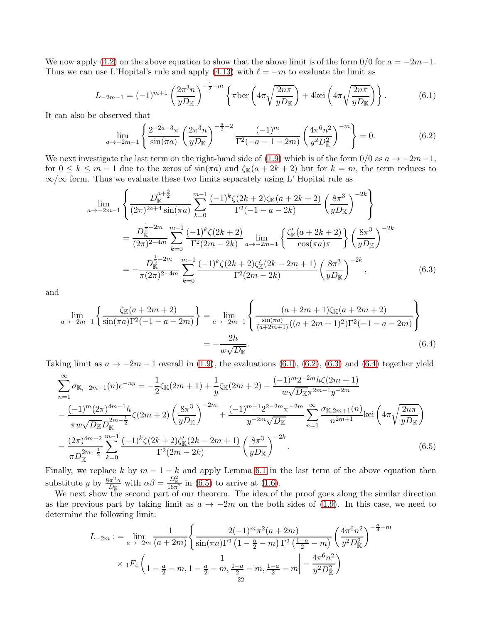We now apply [\(4.2\)](#page-11-8) on the above equation to show that the above limit is of the form  $0/0$  for  $a = -2m-1$ . Thus we can use L'Hopital's rule and apply [\(4.13\)](#page-15-1) with  $\ell = -m$  to evaluate the limit as

$$
L_{-2m-1} = (-1)^{m+1} \left(\frac{2\pi^3 n}{yD_{\mathbb{K}}}\right)^{-\frac{1}{2}-m} \left\{\pi \text{ber}\left(4\pi \sqrt{\frac{2n\pi}{yD_{\mathbb{K}}}}\right) + 4\text{kei}\left(4\pi \sqrt{\frac{2n\pi}{yD_{\mathbb{K}}}}\right)\right\}.
$$
 (6.1)

It can also be observed that

<span id="page-21-1"></span><span id="page-21-0"></span>
$$
\lim_{a \to -2m-1} \left\{ \frac{2^{-2a-3}\pi}{\sin(\pi a)} \left( \frac{2\pi^3 n}{yD_K} \right)^{-\frac{a}{2}-2} \frac{(-1)^m}{\Gamma^2(-a-1-2m)} \left( \frac{4\pi^6 n^2}{y^2 D_K^2} \right)^{-m} \right\} = 0. \tag{6.2}
$$

We next investigate the last term on the right-hand side of [\(1.9\)](#page-4-8) which is of the form  $0/0$  as  $a \to -2m-1$ , for  $0 \leq k \leq m-1$  due to the zeros of  $\sin(\pi a)$  and  $\zeta_{\mathbb{K}}(a+2k+2)$  but for  $k=m$ , the term reduces to  $\infty/\infty$  form. Thus we evaluate these two limits separately using L' Hopital rule as

<span id="page-21-2"></span>
$$
\lim_{a \to -2m-1} \left\{ \frac{D_{\mathbb{K}}^{a+\frac{3}{2}}}{(2\pi)^{2a+4} \sin(\pi a)} \sum_{k=0}^{m-1} \frac{(-1)^k \zeta(2k+2) \zeta_{\mathbb{K}}(a+2k+2)}{\Gamma^2(-1-a-2k)} \left(\frac{8\pi^3}{yD_{\mathbb{K}}}\right)^{-2k} \right\}
$$
\n
$$
= \frac{D_{\mathbb{K}}^{\frac{1}{2}-2m}}{(2\pi)^{2-4m}} \sum_{k=0}^{m-1} \frac{(-1)^k \zeta(2k+2)}{\Gamma^2(2m-2k)} \lim_{a \to -2m-1} \left\{ \frac{\zeta_{\mathbb{K}}^{\prime}(a+2k+2)}{\cos(\pi a)\pi} \right\} \left(\frac{8\pi^3}{yD_{\mathbb{K}}}\right)^{-2k}
$$
\n
$$
= -\frac{D_{\mathbb{K}}^{\frac{1}{2}-2m}}{\pi(2\pi)^{2-4m}} \sum_{k=0}^{m-1} \frac{(-1)^k \zeta(2k+2) \zeta_{\mathbb{K}}^{\prime}(2k-2m+1)}{\Gamma^2(2m-2k)} \left(\frac{8\pi^3}{yD_{\mathbb{K}}}\right)^{-2k}, \tag{6.3}
$$

and

<span id="page-21-3"></span>
$$
\lim_{a \to -2m-1} \left\{ \frac{\zeta_{\mathbb{K}}(a+2m+2)}{\sin(\pi a)\Gamma^2(-1-a-2m)} \right\} = \lim_{a \to -2m-1} \left\{ \frac{(a+2m+1)\zeta_{\mathbb{K}}(a+2m+2)}{\frac{\sin(\pi a)}{(a+2m+1)}((a+2m+1)^2)\Gamma^2(-1-a-2m)} \right\}
$$
\n
$$
= -\frac{2h}{w\sqrt{D_{\mathbb{K}}}}.
$$
\n(6.4)

Taking limit as  $a \to -2m-1$  overall in [\(1.9\)](#page-4-8), the evaluations [\(6.1\)](#page-21-0), [\(6.2\)](#page-21-1), [\(6.3\)](#page-21-2) and [\(6.4\)](#page-21-3) together yield

$$
\sum_{n=1}^{\infty} \sigma_{K, -2m-1}(n) e^{-ny} = -\frac{1}{2} \zeta_{K}(2m+1) + \frac{1}{y} \zeta_{K}(2m+2) + \frac{(-1)^{m} 2^{-2m} h \zeta(2m+1)}{w \sqrt{D_{K} \pi^{2m-1} y^{-2m}}} \n- \frac{(-1)^{m} (2\pi)^{4m-1} h}{\pi w \sqrt{D_{K}} D_{K}^{2m-\frac{1}{2}}} \zeta(2m+2) \left(\frac{8\pi^{3}}{y D_{K}}\right)^{-2m} + \frac{(-1)^{m+1} 2^{2-2m} \pi^{-2m}}{y^{-2m} \sqrt{D_{K}}} \sum_{n=1}^{\infty} \frac{\sigma_{K, 2m+1}(n)}{n^{2m+1}} \text{kei}\left(4\pi \sqrt{\frac{2n\pi}{y D_{K}}}\right) \n- \frac{(2\pi)^{4m-2}}{\pi D_{K}^{2m-\frac{1}{2}}} \sum_{k=0}^{m-1} \frac{(-1)^{k} \zeta(2k+2) \zeta_{K}'(2k-2m+1)}{\Gamma^{2}(2m-2k)} \left(\frac{8\pi^{3}}{y D_{K}}\right)^{-2k}
$$
\n(6.5)

Finally, we replace k by  $m-1-k$  and apply Lemma [6.1](#page-20-5) in the last term of the above equation then substitute y by  $\frac{8\pi^2\alpha}{D^2}$  $\frac{d\pi^2 \alpha}{D_{\mathbb{K}}}$  with  $\alpha \beta = \frac{D_{\mathbb{K}}^2}{16\pi^2}$  in [\(6.5\)](#page-21-4) to arrive at [\(1.6\)](#page-2-2).

We next show the second part of our theorem. The idea of the proof goes along the similar direction as the previous part by taking limit as  $a \to -2m$  on the both sides of [\(1.9\)](#page-4-8). In this case, we need to determine the following limit:

<span id="page-21-4"></span>
$$
L_{-2m} := \lim_{a \to -2m} \frac{1}{(a+2m)} \left\{ \frac{2(-1)^m \pi^2 (a+2m)}{\sin(\pi a) \Gamma^2 \left(1 - \frac{a}{2} - m\right) \Gamma^2 \left(\frac{1-a}{2} - m\right)} \left(\frac{4\pi^6 n^2}{y^2 D_{\mathbb{K}}^2}\right)^{-\frac{a}{4} - m} \right\}
$$

$$
\times {}_1F_4 \left(1 - \frac{a}{2} - m, 1 - \frac{a}{2} - m, \frac{1-a}{2} - m, \frac{1-a}{2} - m \right| - \frac{4\pi^6 n^2}{y^2 D_{\mathbb{K}}^2}
$$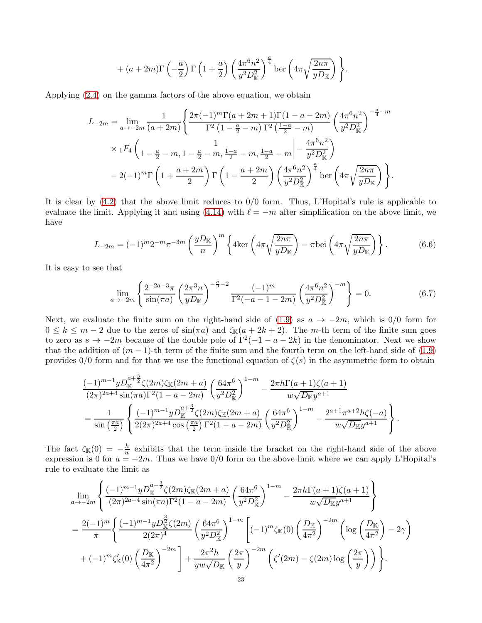+ 
$$
(a+2m)\Gamma\left(-\frac{a}{2}\right)\Gamma\left(1+\frac{a}{2}\right)\left(\frac{4\pi^6n^2}{y^2D_{\mathbb{K}}^2}\right)^{\frac{a}{4}}\text{ber}\left(4\pi\sqrt{\frac{2n\pi}{yD_{\mathbb{K}}}}\right)\Bigg\}.
$$

Applying [\(2.4\)](#page-5-5) on the gamma factors of the above equation, we obtain

$$
L_{-2m} = \lim_{a \to -2m} \frac{1}{(a+2m)} \left\{ \frac{2\pi(-1)^m \Gamma(a+2m+1) \Gamma(1-a-2m)}{\Gamma^2 \left(1-\frac{a}{2}-m\right) \Gamma^2 \left(\frac{1-a}{2}-m\right)} \left(\frac{4\pi^6 n^2}{y^2 D_{\mathbb{K}}^2}\right)^{-\frac{a}{4}-m} \right\}
$$
  
\$\times {}\_1F\_4 \left(1 - \frac{a}{2} - m, 1 - \frac{a}{2} - m, \frac{1-a}{2} - m, \frac{1-a}{2} - m \right| - \frac{4\pi^6 n^2}{y^2 D\_{\mathbb{K}}^2}}\$  
- 2(-1)^m \Gamma \left(1 + \frac{a+2m}{2}\right) \Gamma \left(1 - \frac{a+2m}{2}\right) \left(\frac{4\pi^6 n^2}{y^2 D\_{\mathbb{K}}^2}\right)^{\frac{a}{4}} \text{ber} \left(4\pi \sqrt{\frac{2n\pi}{y D\_{\mathbb{K}}}}\right) \right\}.

It is clear by [\(4.2\)](#page-11-8) that the above limit reduces to 0/0 form. Thus, L'Hopital's rule is applicable to evaluate the limit. Applying it and using [\(4.14\)](#page-15-2) with  $\ell = -m$  after simplification on the above limit, we have

$$
L_{-2m} = (-1)^m 2^{-m} \pi^{-3m} \left(\frac{yD_{\mathbb{K}}}{n}\right)^m \left\{4\ker\left(4\pi\sqrt{\frac{2n\pi}{yD_{\mathbb{K}}}}\right) - \pi \mathrm{bei}\left(4\pi\sqrt{\frac{2n\pi}{yD_{\mathbb{K}}}}\right)\right\}.
$$
 (6.6)

It is easy to see that

<span id="page-22-1"></span><span id="page-22-0"></span>
$$
\lim_{a \to -2m} \left\{ \frac{2^{-2a-3}\pi}{\sin(\pi a)} \left( \frac{2\pi^3 n}{yD_{\mathbb{K}}} \right)^{-\frac{a}{2}-2} \frac{(-1)^m}{\Gamma^2(-a-1-2m)} \left( \frac{4\pi^6 n^2}{y^2 D_{\mathbb{K}}^2} \right)^{-m} \right\} = 0. \tag{6.7}
$$

Next, we evaluate the finite sum on the right-hand side of [\(1.9\)](#page-4-8) as  $a \to -2m$ , which is 0/0 form for  $0 \leq k \leq m-2$  due to the zeros of  $\sin(\pi a)$  and  $\zeta_{\mathbb{K}}(a+2k+2)$ . The m-th term of the finite sum goes to zero as  $s \to -2m$  because of the double pole of  $\Gamma^2(-1 - a - 2k)$  in the denominator. Next we show that the addition of  $(m-1)$ -th term of the finite sum and the fourth term on the left-hand side of  $(1.9)$ provides  $0/0$  form and for that we use the functional equation of  $\zeta(s)$  in the asymmetric form to obtain

$$
\frac{(-1)^{m-1}yD_{\mathbb{K}}^{a+\frac{3}{2}}\zeta(2m)\zeta_{\mathbb{K}}(2m+a)}{(2\pi)^{2a+4}\sin(\pi a)\Gamma^{2}(1-a-2m)}\left(\frac{64\pi^{6}}{y^{2}D_{\mathbb{K}}^{2}}\right)^{1-m}-\frac{2\pi h\Gamma(a+1)\zeta(a+1)}{w\sqrt{D_{\mathbb{K}}}y^{a+1}}\\=\frac{1}{\sin\left(\frac{\pi a}{2}\right)}\left\{\frac{(-1)^{m-1}yD_{\mathbb{K}}^{a+\frac{3}{2}}\zeta(2m)\zeta_{\mathbb{K}}(2m+a)}{2(2\pi)^{2a+4}\cos\left(\frac{\pi a}{2}\right)\Gamma^{2}(1-a-2m)}\left(\frac{64\pi^{6}}{y^{2}D_{\mathbb{K}}^{2}}\right)^{1-m}-\frac{2^{a+1}\pi^{a+2}h\zeta(-a)}{w\sqrt{D_{\mathbb{K}}}y^{a+1}}\right\}.
$$

The fact  $\zeta_{\mathbb{K}}(0) = -\frac{h}{w}$  $\frac{h}{w}$  exhibits that the term inside the bracket on the right-hand side of the above expression is 0 for  $a = -2m$ . Thus we have 0/0 form on the above limit where we can apply L'Hopital's rule to evaluate the limit as

$$
\lim_{a \to -2m} \left\{ \frac{(-1)^{m-1} y D_{\mathbb{K}}^{a+\frac{3}{2}} \zeta(2m) \zeta_{\mathbb{K}}(2m+a)}{(2\pi)^{2a+4} \sin(\pi a) \Gamma^2 (1-a-2m)} \left( \frac{64\pi^6}{y^2 D_{\mathbb{K}}^2} \right)^{1-m} - \frac{2\pi h \Gamma(a+1) \zeta(a+1)}{w \sqrt{D_{\mathbb{K}}} y^{a+1}} \right\}
$$
\n
$$
= \frac{2(-1)^m}{\pi} \left\{ \frac{(-1)^{m-1} y D_{\mathbb{K}}^{\frac{3}{2}} \zeta(2m)}{2(2\pi)^4} \left( \frac{64\pi^6}{y^2 D_{\mathbb{K}}^2} \right)^{1-m} \left[ (-1)^m \zeta_{\mathbb{K}}(0) \left( \frac{D_{\mathbb{K}}}{4\pi^2} \right)^{-2m} \left( \log \left( \frac{D_{\mathbb{K}}}{4\pi^2} \right) - 2\gamma \right) \right.
$$
\n
$$
+ (-1)^m \zeta_{\mathbb{K}}'(0) \left( \frac{D_{\mathbb{K}}}{4\pi^2} \right)^{-2m} \left[ + \frac{2\pi^2 h}{yw\sqrt{D_{\mathbb{K}}}} \left( \frac{2\pi}{y} \right)^{-2m} \left( \zeta'(2m) - \zeta(2m) \log \left( \frac{2\pi}{y} \right) \right) \right\}.
$$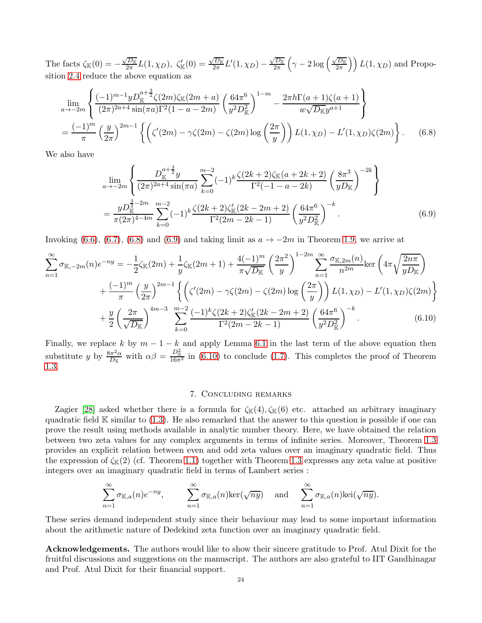The facts  $\zeta_{\mathbb{K}}(0) = -\frac{\sqrt{D_{\mathbb{K}}}}{2\pi}$  $\frac{\sqrt{D_{\mathbb{K}}}}{2\pi}L(1,\chi_D),\ \zeta_{\mathbb{K}}'(0)=\frac{\sqrt{D_{\mathbb{K}}}}{2\pi}$  $\frac{\sqrt{D_\mathbb{K}}}{2\pi}L^\prime(1,\chi_D)-\frac{\sqrt{D_\mathbb{K}}}{2\pi}$  $\frac{\sqrt{D_\mathbb{K}}}{2\pi}\left(\gamma-2\log\left(\frac{\sqrt{D_\mathbb{K}}}{2\pi}\right)\right.$  $\left(\frac{\overline{D_{\mathbb{K}}}}{2\pi}\right)\right)L(1,\chi_D)$  and Proposition [2.4](#page-5-3) reduce the above equation as

$$
\lim_{a \to -2m} \left\{ \frac{(-1)^{m-1} y D_{\mathbb{K}}^{a+\frac{3}{2}} \zeta(2m) \zeta_{\mathbb{K}}(2m+a)}{(2\pi)^{2a+4} \sin(\pi a) \Gamma^2 (1-a-2m)} \left( \frac{64\pi^6}{y^2 D_{\mathbb{K}}^2} \right)^{1-m} - \frac{2\pi h \Gamma(a+1) \zeta(a+1)}{w \sqrt{D_{\mathbb{K}} y^{a+1}}} \right\}
$$
\n
$$
= \frac{(-1)^m}{\pi} \left( \frac{y}{2\pi} \right)^{2m-1} \left\{ \left( \zeta'(2m) - \gamma \zeta(2m) - \zeta(2m) \log \left( \frac{2\pi}{y} \right) \right) L(1, \chi_D) - L'(1, \chi_D) \zeta(2m) \right\}. \tag{6.8}
$$

We also have

<span id="page-23-1"></span>
$$
\lim_{a \to -2m} \left\{ \frac{D_{\mathbb{K}}^{a+\frac{3}{2}} y}{(2\pi)^{2a+4} \sin(\pi a)} \sum_{k=0}^{m-2} (-1)^k \frac{\zeta(2k+2)\zeta_{\mathbb{K}}(a+2k+2)}{\Gamma^2(-1-a-2k)} \left(\frac{8\pi^3}{yD_{\mathbb{K}}}\right)^{-2k} \right\}
$$
\n
$$
= \frac{y D_{\mathbb{K}}^{\frac{3}{2}-2m}}{\pi (2\pi)^{4-4m}} \sum_{k=0}^{m-2} (-1)^k \frac{\zeta(2k+2)\zeta_{\mathbb{K}}'(2k-2m+2)}{\Gamma^2(2m-2k-1)} \left(\frac{64\pi^6}{y^2 D_{\mathbb{K}}^2}\right)^{-k} . \tag{6.9}
$$

Invoking [\(6.6\)](#page-22-0), [\(6.7\)](#page-22-1), [\(6.8\)](#page-23-1) and [\(6.9\)](#page-23-2) and taking limit as  $a \to -2m$  in Theorem [1.9,](#page-4-8) we arrive at

$$
\sum_{n=1}^{\infty} \sigma_{\mathbb{K},-2m}(n) e^{-ny} = -\frac{1}{2} \zeta_{\mathbb{K}}(2m) + \frac{1}{y} \zeta_{\mathbb{K}}(2m+1) + \frac{4(-1)^m}{\pi \sqrt{D_{\mathbb{K}}}} \left(\frac{2\pi^2}{y}\right)^{1-2m} \sum_{n=1}^{\infty} \frac{\sigma_{\mathbb{K},2m}(n)}{n^{2m}} \ker\left(4\pi \sqrt{\frac{2n\pi}{yD_{\mathbb{K}}}}\right)
$$

$$
+ \frac{(-1)^m}{\pi} \left(\frac{y}{2\pi}\right)^{2m-1} \left\{ \left(\zeta'(2m) - \gamma \zeta(2m) - \zeta(2m) \log\left(\frac{2\pi}{y}\right)\right) L(1,\chi_D) - L'(1,\chi_D) \zeta(2m) \right\}
$$

$$
+ \frac{y}{2} \left(\frac{2\pi}{\sqrt{D_{\mathbb{K}}}}\right)^{4m-3} \sum_{k=0}^{m-2} \frac{(-1)^k \zeta(2k+2) \zeta_{\mathbb{K}}'(2k-2m+2)}{\Gamma^2(2m-2k-1)} \left(\frac{64\pi^6}{y^2 D_{\mathbb{K}}^2}\right)^{-k} . \tag{6.10}
$$

Finally, we replace k by  $m-1-k$  and apply Lemma [6.1](#page-20-5) in the last term of the above equation then substitute y by  $\frac{8\pi^2\alpha}{D^2}$  $\frac{d\pi^2\alpha}{dx}$  with  $\alpha\beta = \frac{D_{\mathbb{K}}^2}{16\pi^2}$  in [\(6.10\)](#page-23-3) to conclude [\(1.7\)](#page-2-4). This completes the proof of Theorem [1.3.](#page-2-1)

### <span id="page-23-3"></span><span id="page-23-2"></span>7. Concluding remarks

<span id="page-23-0"></span>Zagier [\[28\]](#page-24-8) asked whether there is a formula for  $\zeta_{\mathbb{K}}(4), \zeta_{\mathbb{K}}(6)$  etc. attached an arbitrary imaginary quadratic field  $\mathbb K$  similar to [\(1.3\)](#page-1-1). He also remarked that the answer to this question is possible if one can prove the result using methods available in analytic number theory. Here, we have obtained the relation between two zeta values for any complex arguments in terms of infinite series. Moreover, Theorem [1.3](#page-2-1) provides an explicit relation between even and odd zeta values over an imaginary quadratic field. Thus the expression of  $\zeta_{K}(2)$  (cf. Theorem [1.1\)](#page-2-0) together with Theorem [1.3](#page-2-1) expresses any zeta value at positive integers over an imaginary quadratic field in terms of Lambert series :

$$
\sum_{n=1}^{\infty} \sigma_{\mathbb{K},a}(n) e^{-ny}, \qquad \sum_{n=1}^{\infty} \sigma_{\mathbb{K},a}(n) \text{ker}(\sqrt{ny}) \quad \text{and} \quad \sum_{n=1}^{\infty} \sigma_{\mathbb{K},a}(n) \text{ker}(\sqrt{ny}).
$$

These series demand independent study since their behaviour may lead to some important information about the arithmetic nature of Dedekind zeta function over an imaginary quadratic field.

Acknowledgements. The authors would like to show their sincere gratitude to Prof. Atul Dixit for the fruitful discussions and suggestions on the manuscript. The authors are also grateful to IIT Gandhinagar and Prof. Atul Dixit for their financial support.